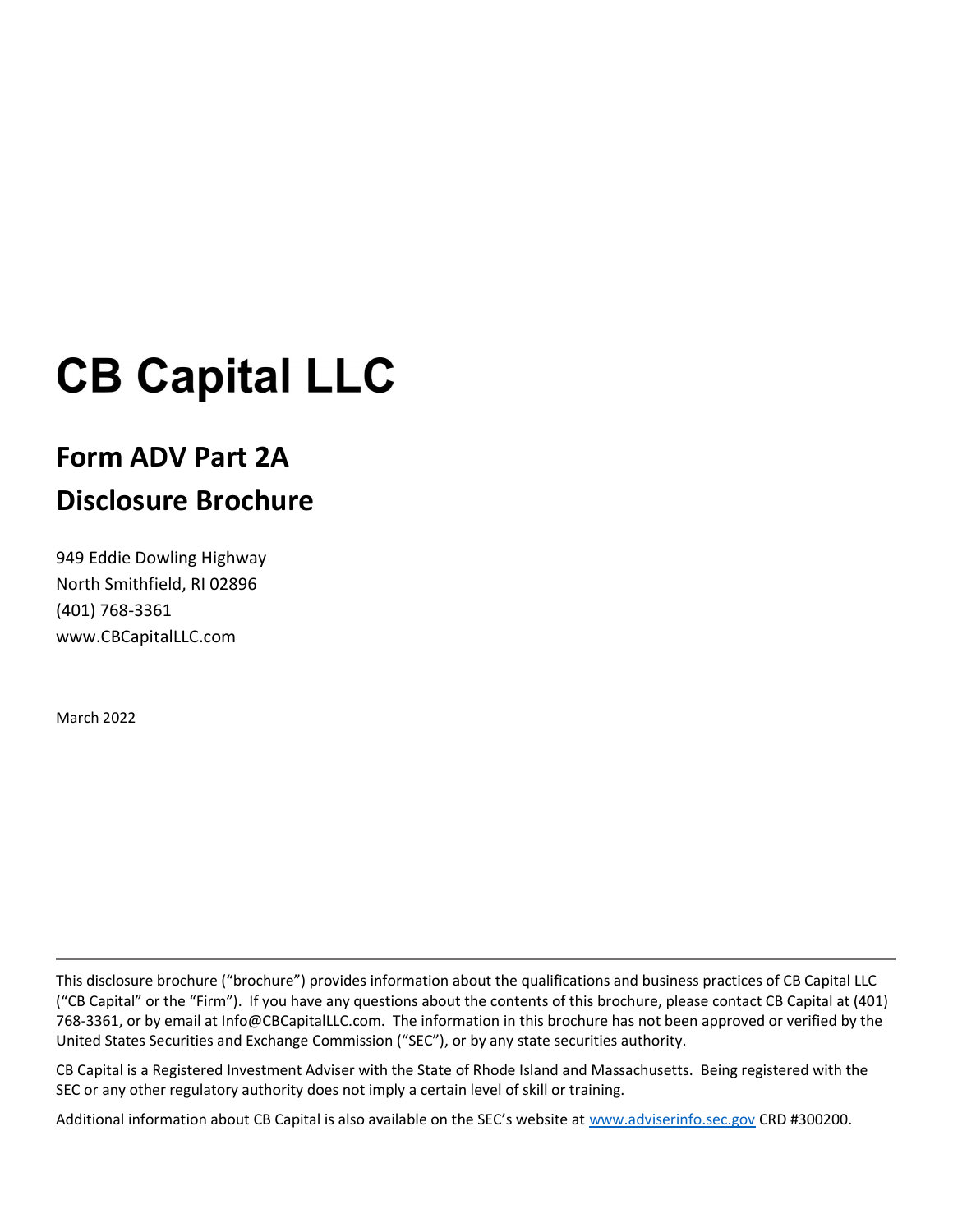# **CB Capital LLC**

# Form ADV Part 2A Disclosure Brochure

949 Eddie Dowling Highway North Smithfield, RI 02896 (401) 768-3361 www.CBCapitalLLC.com

March 2022

L

This disclosure brochure ("brochure") provides information about the qualifications and business practices of CB Capital LLC ("CB Capital" or the "Firm"). If you have any questions about the contents of this brochure, please contact CB Capital at (401) 768-3361, or by email at Info@CBCapitalLLC.com. The information in this brochure has not been approved or verified by the United States Securities and Exchange Commission ("SEC"), or by any state securities authority.

CB Capital is a Registered Investment Adviser with the State of Rhode Island and Massachusetts. Being registered with the SEC or any other regulatory authority does not imply a certain level of skill or training.

Additional information about CB Capital is also available on the SEC's website at www.adviserinfo.sec.gov CRD #300200.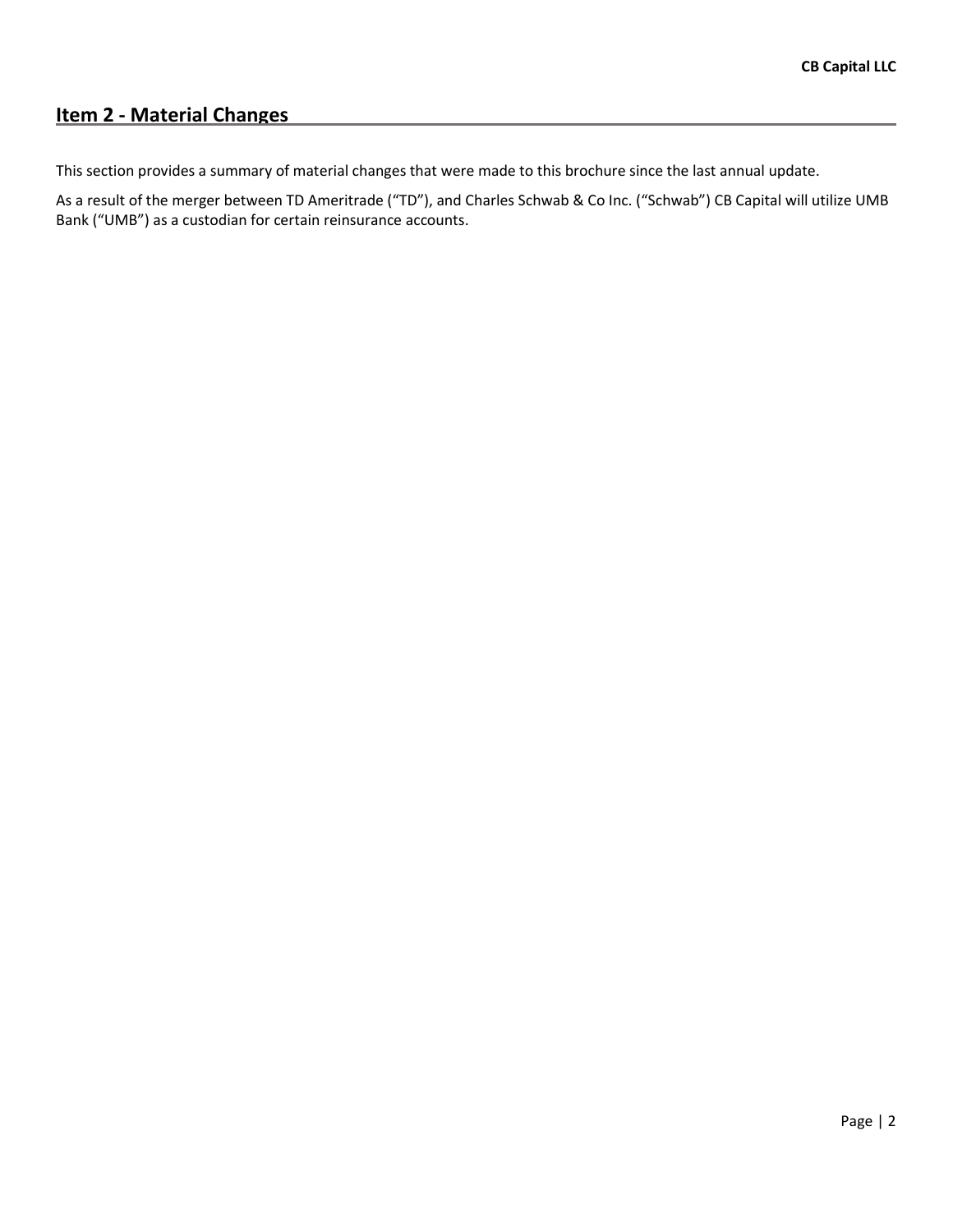# Item 2 - Material Changes

This section provides a summary of material changes that were made to this brochure since the last annual update.

As a result of the merger between TD Ameritrade ("TD"), and Charles Schwab & Co Inc. ("Schwab") CB Capital will utilize UMB Bank ("UMB") as a custodian for certain reinsurance accounts.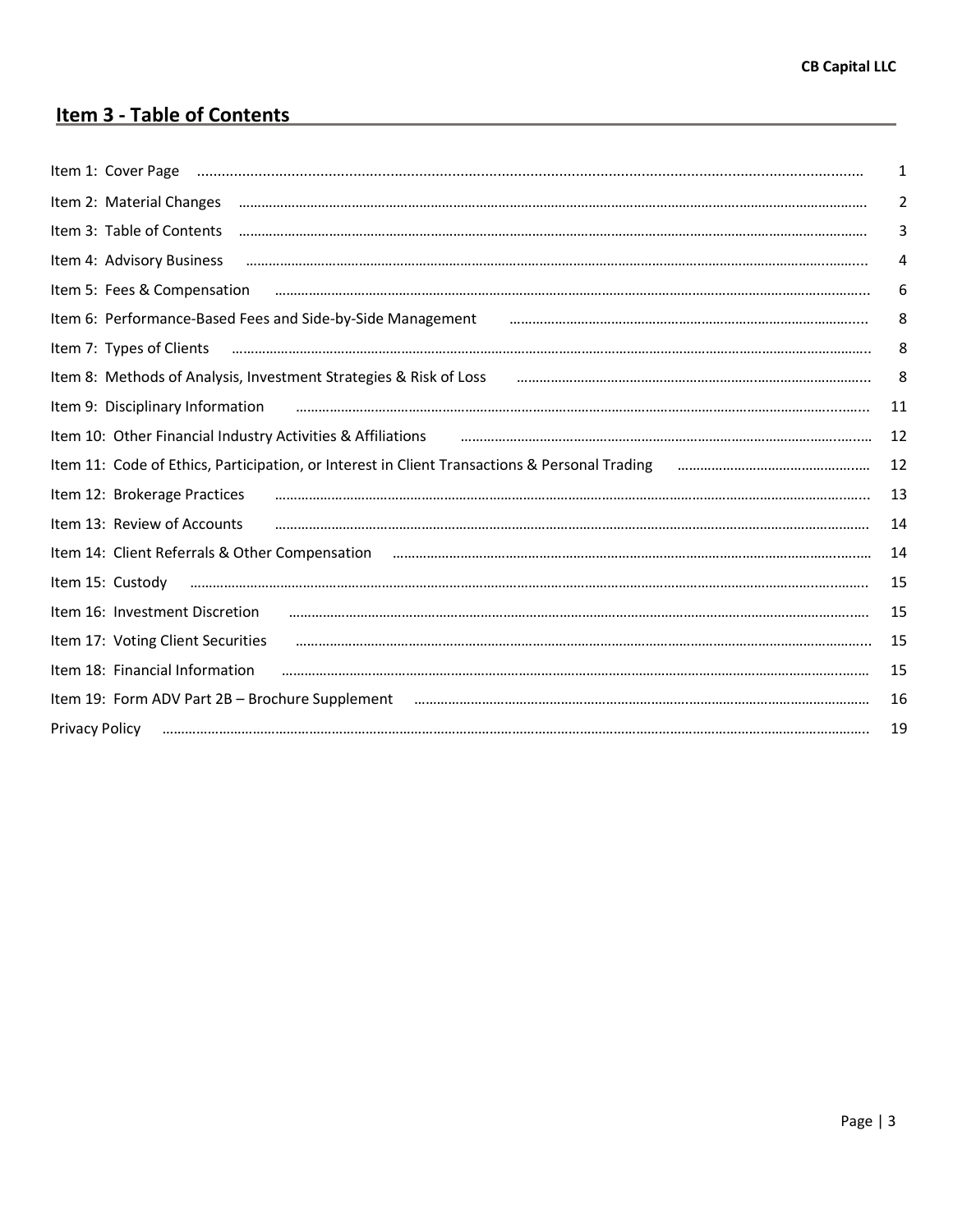# Item 3 - Table of Contents

| Item 1: Cover Page                                                                            | 1  |
|-----------------------------------------------------------------------------------------------|----|
| Item 2: Material Changes                                                                      | 2  |
| Item 3: Table of Contents                                                                     | 3  |
| Item 4: Advisory Business                                                                     | 4  |
| Item 5: Fees & Compensation                                                                   | 6  |
| Item 6: Performance-Based Fees and Side-by-Side Management                                    | 8  |
| Item 7: Types of Clients                                                                      | 8  |
| Item 8: Methods of Analysis, Investment Strategies & Risk of Loss                             | 8  |
| Item 9: Disciplinary Information                                                              | 11 |
| Item 10: Other Financial Industry Activities & Affiliations                                   | 12 |
| Item 11: Code of Ethics, Participation, or Interest in Client Transactions & Personal Trading | 12 |
| Item 12: Brokerage Practices                                                                  | 13 |
| Item 13: Review of Accounts                                                                   | 14 |
| Item 14: Client Referrals & Other Compensation                                                | 14 |
| Item 15: Custody                                                                              | 15 |
| Item 16: Investment Discretion                                                                | 15 |
| Item 17: Voting Client Securities                                                             | 15 |
| Item 18: Financial Information                                                                | 15 |
| Item 19: Form ADV Part 2B - Brochure Supplement                                               | 16 |
| Privacy Policy                                                                                | 19 |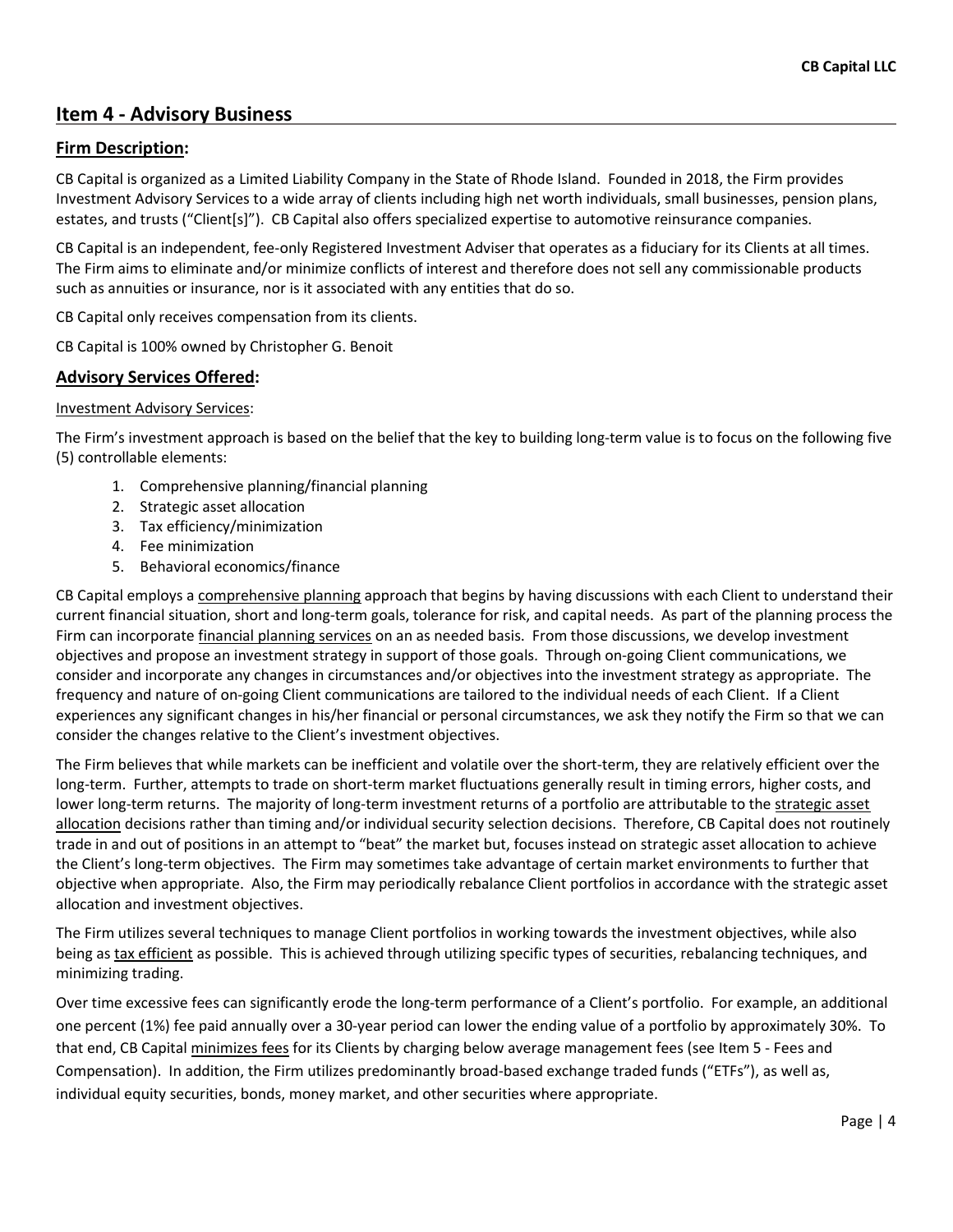# Item 4 - Advisory Business

#### Firm Description:

CB Capital is organized as a Limited Liability Company in the State of Rhode Island. Founded in 2018, the Firm provides Investment Advisory Services to a wide array of clients including high net worth individuals, small businesses, pension plans, estates, and trusts ("Client[s]"). CB Capital also offers specialized expertise to automotive reinsurance companies.

CB Capital is an independent, fee-only Registered Investment Adviser that operates as a fiduciary for its Clients at all times. The Firm aims to eliminate and/or minimize conflicts of interest and therefore does not sell any commissionable products such as annuities or insurance, nor is it associated with any entities that do so.

CB Capital only receives compensation from its clients.

CB Capital is 100% owned by Christopher G. Benoit

#### Advisory Services Offered:

#### Investment Advisory Services:

The Firm's investment approach is based on the belief that the key to building long-term value is to focus on the following five (5) controllable elements:

- 1. Comprehensive planning/financial planning
- 2. Strategic asset allocation
- 3. Tax efficiency/minimization
- 4. Fee minimization
- 5. Behavioral economics/finance

CB Capital employs a comprehensive planning approach that begins by having discussions with each Client to understand their current financial situation, short and long-term goals, tolerance for risk, and capital needs. As part of the planning process the Firm can incorporate financial planning services on an as needed basis. From those discussions, we develop investment objectives and propose an investment strategy in support of those goals. Through on-going Client communications, we consider and incorporate any changes in circumstances and/or objectives into the investment strategy as appropriate. The frequency and nature of on-going Client communications are tailored to the individual needs of each Client. If a Client experiences any significant changes in his/her financial or personal circumstances, we ask they notify the Firm so that we can consider the changes relative to the Client's investment objectives.

The Firm believes that while markets can be inefficient and volatile over the short-term, they are relatively efficient over the long-term. Further, attempts to trade on short-term market fluctuations generally result in timing errors, higher costs, and lower long-term returns. The majority of long-term investment returns of a portfolio are attributable to the strategic asset allocation decisions rather than timing and/or individual security selection decisions. Therefore, CB Capital does not routinely trade in and out of positions in an attempt to "beat" the market but, focuses instead on strategic asset allocation to achieve the Client's long-term objectives. The Firm may sometimes take advantage of certain market environments to further that objective when appropriate. Also, the Firm may periodically rebalance Client portfolios in accordance with the strategic asset allocation and investment objectives.

The Firm utilizes several techniques to manage Client portfolios in working towards the investment objectives, while also being as tax efficient as possible. This is achieved through utilizing specific types of securities, rebalancing techniques, and minimizing trading.

Over time excessive fees can significantly erode the long-term performance of a Client's portfolio. For example, an additional one percent (1%) fee paid annually over a 30-year period can lower the ending value of a portfolio by approximately 30%. To that end, CB Capital minimizes fees for its Clients by charging below average management fees (see Item 5 - Fees and Compensation). In addition, the Firm utilizes predominantly broad-based exchange traded funds ("ETFs"), as well as, individual equity securities, bonds, money market, and other securities where appropriate.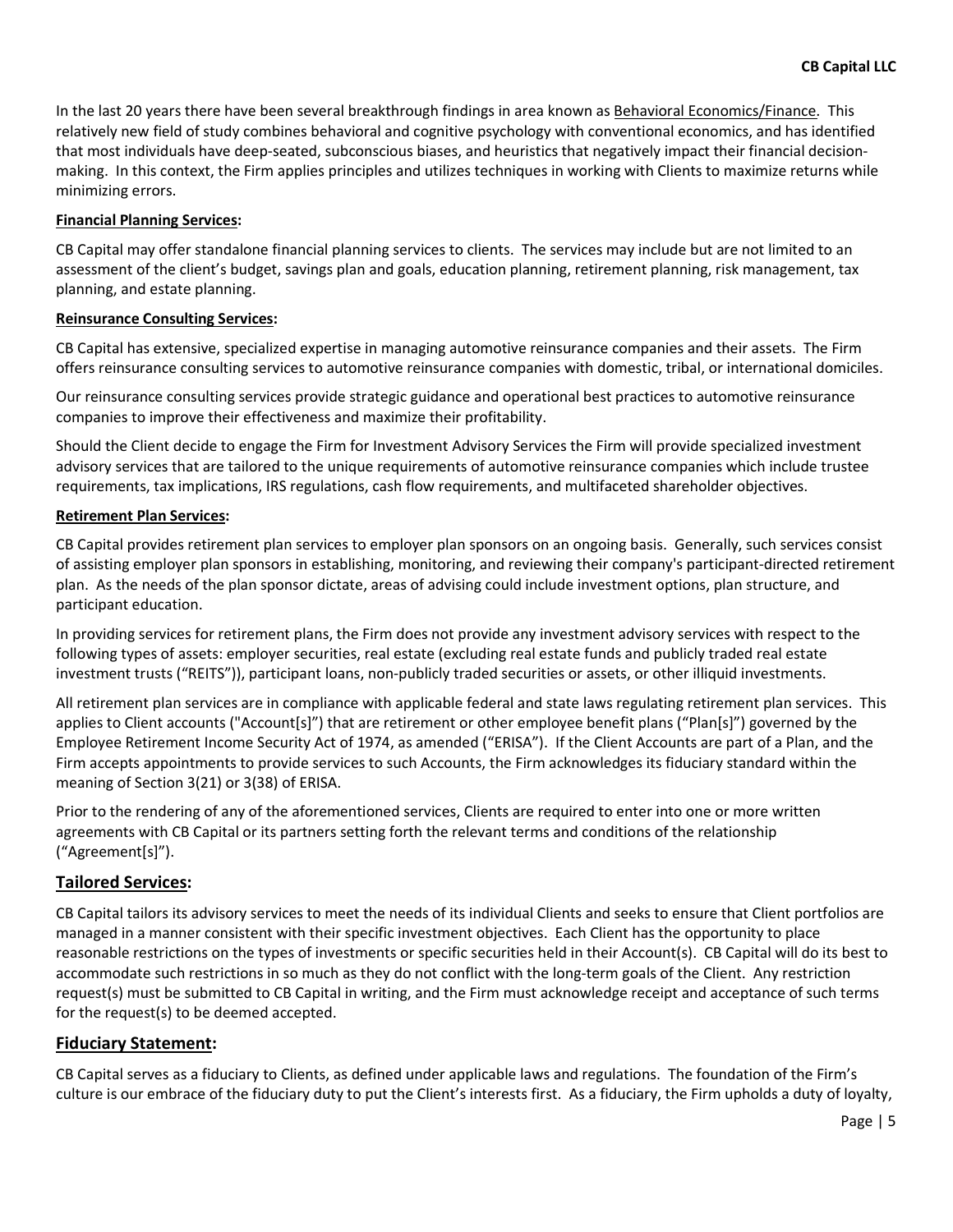In the last 20 years there have been several breakthrough findings in area known as Behavioral Economics/Finance. This relatively new field of study combines behavioral and cognitive psychology with conventional economics, and has identified that most individuals have deep-seated, subconscious biases, and heuristics that negatively impact their financial decisionmaking. In this context, the Firm applies principles and utilizes techniques in working with Clients to maximize returns while minimizing errors.

#### Financial Planning Services:

CB Capital may offer standalone financial planning services to clients. The services may include but are not limited to an assessment of the client's budget, savings plan and goals, education planning, retirement planning, risk management, tax planning, and estate planning.

#### Reinsurance Consulting Services:

CB Capital has extensive, specialized expertise in managing automotive reinsurance companies and their assets. The Firm offers reinsurance consulting services to automotive reinsurance companies with domestic, tribal, or international domiciles.

Our reinsurance consulting services provide strategic guidance and operational best practices to automotive reinsurance companies to improve their effectiveness and maximize their profitability.

Should the Client decide to engage the Firm for Investment Advisory Services the Firm will provide specialized investment advisory services that are tailored to the unique requirements of automotive reinsurance companies which include trustee requirements, tax implications, IRS regulations, cash flow requirements, and multifaceted shareholder objectives.

#### Retirement Plan Services:

CB Capital provides retirement plan services to employer plan sponsors on an ongoing basis. Generally, such services consist of assisting employer plan sponsors in establishing, monitoring, and reviewing their company's participant-directed retirement plan. As the needs of the plan sponsor dictate, areas of advising could include investment options, plan structure, and participant education.

In providing services for retirement plans, the Firm does not provide any investment advisory services with respect to the following types of assets: employer securities, real estate (excluding real estate funds and publicly traded real estate investment trusts ("REITS")), participant loans, non-publicly traded securities or assets, or other illiquid investments.

All retirement plan services are in compliance with applicable federal and state laws regulating retirement plan services. This applies to Client accounts ("Account[s]") that are retirement or other employee benefit plans ("Plan[s]") governed by the Employee Retirement Income Security Act of 1974, as amended ("ERISA"). If the Client Accounts are part of a Plan, and the Firm accepts appointments to provide services to such Accounts, the Firm acknowledges its fiduciary standard within the meaning of Section 3(21) or 3(38) of ERISA.

Prior to the rendering of any of the aforementioned services, Clients are required to enter into one or more written agreements with CB Capital or its partners setting forth the relevant terms and conditions of the relationship ("Agreement[s]").

#### Tailored Services:

CB Capital tailors its advisory services to meet the needs of its individual Clients and seeks to ensure that Client portfolios are managed in a manner consistent with their specific investment objectives. Each Client has the opportunity to place reasonable restrictions on the types of investments or specific securities held in their Account(s). CB Capital will do its best to accommodate such restrictions in so much as they do not conflict with the long-term goals of the Client. Any restriction request(s) must be submitted to CB Capital in writing, and the Firm must acknowledge receipt and acceptance of such terms for the request(s) to be deemed accepted.

#### Fiduciary Statement:

CB Capital serves as a fiduciary to Clients, as defined under applicable laws and regulations. The foundation of the Firm's culture is our embrace of the fiduciary duty to put the Client's interests first. As a fiduciary, the Firm upholds a duty of loyalty,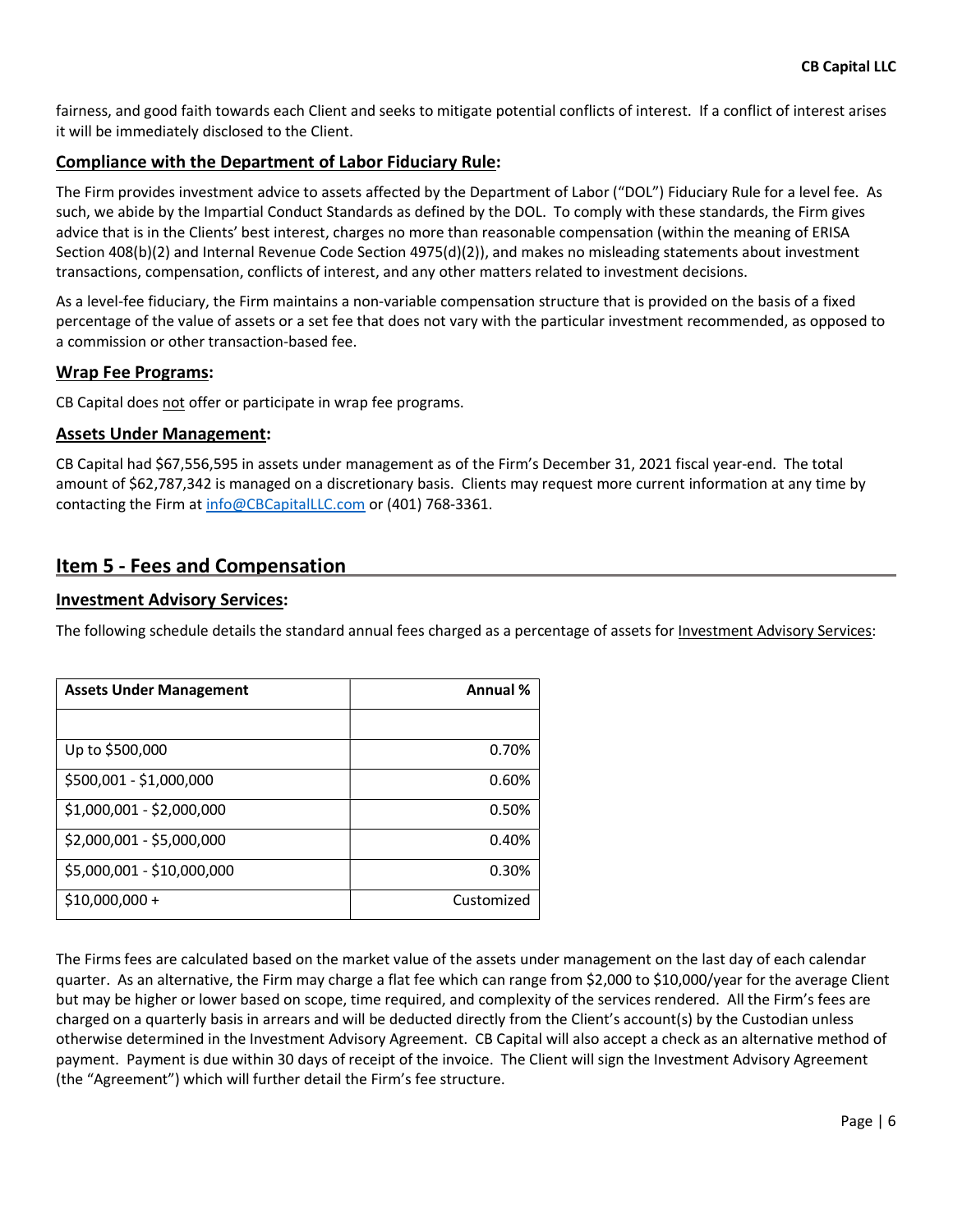fairness, and good faith towards each Client and seeks to mitigate potential conflicts of interest. If a conflict of interest arises it will be immediately disclosed to the Client.

#### Compliance with the Department of Labor Fiduciary Rule:

The Firm provides investment advice to assets affected by the Department of Labor ("DOL") Fiduciary Rule for a level fee. As such, we abide by the Impartial Conduct Standards as defined by the DOL. To comply with these standards, the Firm gives advice that is in the Clients' best interest, charges no more than reasonable compensation (within the meaning of ERISA Section 408(b)(2) and Internal Revenue Code Section 4975(d)(2)), and makes no misleading statements about investment transactions, compensation, conflicts of interest, and any other matters related to investment decisions.

As a level-fee fiduciary, the Firm maintains a non-variable compensation structure that is provided on the basis of a fixed percentage of the value of assets or a set fee that does not vary with the particular investment recommended, as opposed to a commission or other transaction-based fee.

#### Wrap Fee Programs:

CB Capital does not offer or participate in wrap fee programs.

#### Assets Under Management:

CB Capital had \$67,556,595 in assets under management as of the Firm's December 31, 2021 fiscal year-end. The total amount of \$62,787,342 is managed on a discretionary basis. Clients may request more current information at any time by contacting the Firm at info@CBCapitalLLC.com or (401) 768-3361.

### Item 5 - Fees and Compensation

#### Investment Advisory Services:

The following schedule details the standard annual fees charged as a percentage of assets for Investment Advisory Services:

| <b>Assets Under Management</b> | Annual %   |
|--------------------------------|------------|
|                                |            |
| Up to \$500,000                | 0.70%      |
| \$500,001 - \$1,000,000        | 0.60%      |
| \$1,000,001 - \$2,000,000      | 0.50%      |
| \$2,000,001 - \$5,000,000      | 0.40%      |
| \$5,000,001 - \$10,000,000     | 0.30%      |
| $$10,000,000 +$                | Customized |

The Firms fees are calculated based on the market value of the assets under management on the last day of each calendar quarter. As an alternative, the Firm may charge a flat fee which can range from \$2,000 to \$10,000/year for the average Client but may be higher or lower based on scope, time required, and complexity of the services rendered. All the Firm's fees are charged on a quarterly basis in arrears and will be deducted directly from the Client's account(s) by the Custodian unless otherwise determined in the Investment Advisory Agreement. CB Capital will also accept a check as an alternative method of payment. Payment is due within 30 days of receipt of the invoice. The Client will sign the Investment Advisory Agreement (the "Agreement") which will further detail the Firm's fee structure.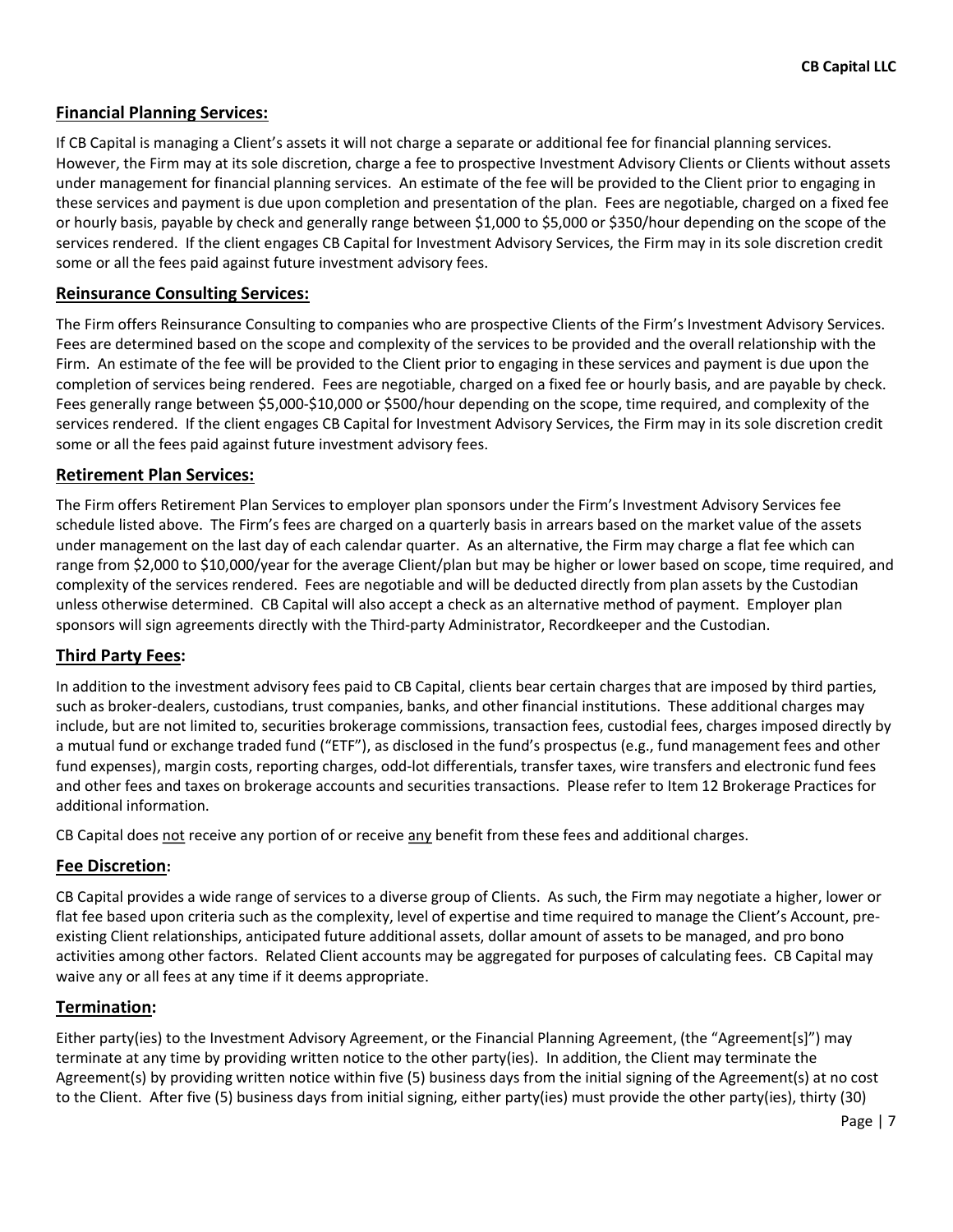#### Financial Planning Services:

If CB Capital is managing a Client's assets it will not charge a separate or additional fee for financial planning services. However, the Firm may at its sole discretion, charge a fee to prospective Investment Advisory Clients or Clients without assets under management for financial planning services. An estimate of the fee will be provided to the Client prior to engaging in these services and payment is due upon completion and presentation of the plan. Fees are negotiable, charged on a fixed fee or hourly basis, payable by check and generally range between \$1,000 to \$5,000 or \$350/hour depending on the scope of the services rendered. If the client engages CB Capital for Investment Advisory Services, the Firm may in its sole discretion credit some or all the fees paid against future investment advisory fees.

#### Reinsurance Consulting Services:

The Firm offers Reinsurance Consulting to companies who are prospective Clients of the Firm's Investment Advisory Services. Fees are determined based on the scope and complexity of the services to be provided and the overall relationship with the Firm. An estimate of the fee will be provided to the Client prior to engaging in these services and payment is due upon the completion of services being rendered. Fees are negotiable, charged on a fixed fee or hourly basis, and are payable by check. Fees generally range between \$5,000-\$10,000 or \$500/hour depending on the scope, time required, and complexity of the services rendered. If the client engages CB Capital for Investment Advisory Services, the Firm may in its sole discretion credit some or all the fees paid against future investment advisory fees.

#### Retirement Plan Services:

The Firm offers Retirement Plan Services to employer plan sponsors under the Firm's Investment Advisory Services fee schedule listed above. The Firm's fees are charged on a quarterly basis in arrears based on the market value of the assets under management on the last day of each calendar quarter. As an alternative, the Firm may charge a flat fee which can range from \$2,000 to \$10,000/year for the average Client/plan but may be higher or lower based on scope, time required, and complexity of the services rendered. Fees are negotiable and will be deducted directly from plan assets by the Custodian unless otherwise determined. CB Capital will also accept a check as an alternative method of payment. Employer plan sponsors will sign agreements directly with the Third-party Administrator, Recordkeeper and the Custodian.

#### Third Party Fees:

In addition to the investment advisory fees paid to CB Capital, clients bear certain charges that are imposed by third parties, such as broker-dealers, custodians, trust companies, banks, and other financial institutions. These additional charges may include, but are not limited to, securities brokerage commissions, transaction fees, custodial fees, charges imposed directly by a mutual fund or exchange traded fund ("ETF"), as disclosed in the fund's prospectus (e.g., fund management fees and other fund expenses), margin costs, reporting charges, odd-lot differentials, transfer taxes, wire transfers and electronic fund fees and other fees and taxes on brokerage accounts and securities transactions. Please refer to Item 12 Brokerage Practices for additional information.

CB Capital does not receive any portion of or receive any benefit from these fees and additional charges.

#### Fee Discretion:

CB Capital provides a wide range of services to a diverse group of Clients. As such, the Firm may negotiate a higher, lower or flat fee based upon criteria such as the complexity, level of expertise and time required to manage the Client's Account, preexisting Client relationships, anticipated future additional assets, dollar amount of assets to be managed, and pro bono activities among other factors. Related Client accounts may be aggregated for purposes of calculating fees. CB Capital may waive any or all fees at any time if it deems appropriate.

#### Termination:

Either party(ies) to the Investment Advisory Agreement, or the Financial Planning Agreement, (the "Agreement[s]") may terminate at any time by providing written notice to the other party(ies). In addition, the Client may terminate the Agreement(s) by providing written notice within five (5) business days from the initial signing of the Agreement(s) at no cost to the Client. After five (5) business days from initial signing, either party(ies) must provide the other party(ies), thirty (30)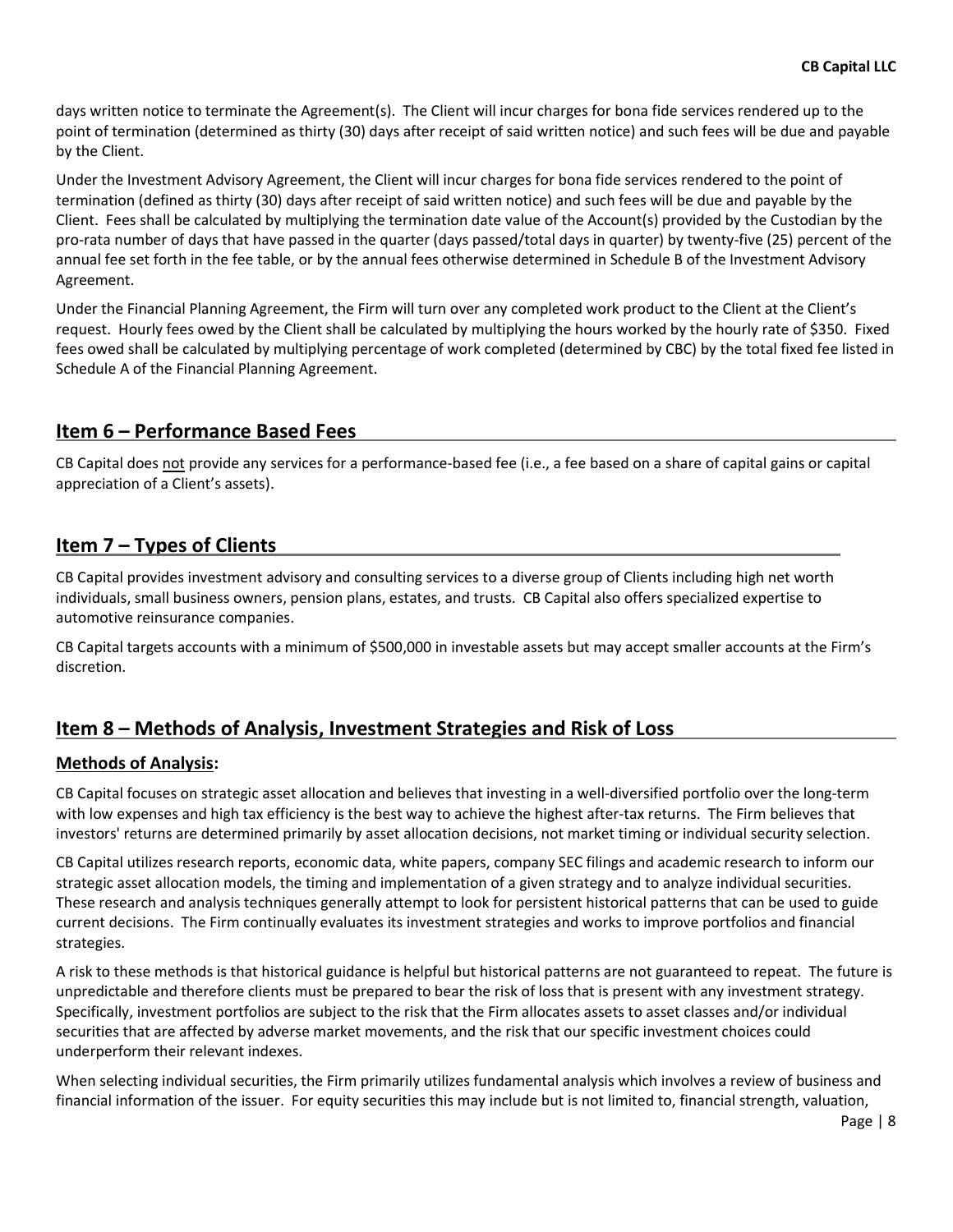days written notice to terminate the Agreement(s). The Client will incur charges for bona fide services rendered up to the point of termination (determined as thirty (30) days after receipt of said written notice) and such fees will be due and payable by the Client.

Under the Investment Advisory Agreement, the Client will incur charges for bona fide services rendered to the point of termination (defined as thirty (30) days after receipt of said written notice) and such fees will be due and payable by the Client. Fees shall be calculated by multiplying the termination date value of the Account(s) provided by the Custodian by the pro-rata number of days that have passed in the quarter (days passed/total days in quarter) by twenty-five (25) percent of the annual fee set forth in the fee table, or by the annual fees otherwise determined in Schedule B of the Investment Advisory Agreement.

Under the Financial Planning Agreement, the Firm will turn over any completed work product to the Client at the Client's request. Hourly fees owed by the Client shall be calculated by multiplying the hours worked by the hourly rate of \$350. Fixed fees owed shall be calculated by multiplying percentage of work completed (determined by CBC) by the total fixed fee listed in Schedule A of the Financial Planning Agreement.

# Item 6 – Performance Based Fees

CB Capital does not provide any services for a performance-based fee (i.e., a fee based on a share of capital gains or capital appreciation of a Client's assets).

# Item 7 – Types of Clients

CB Capital provides investment advisory and consulting services to a diverse group of Clients including high net worth individuals, small business owners, pension plans, estates, and trusts. CB Capital also offers specialized expertise to automotive reinsurance companies.

CB Capital targets accounts with a minimum of \$500,000 in investable assets but may accept smaller accounts at the Firm's discretion.

# Item 8 – Methods of Analysis, Investment Strategies and Risk of Loss

#### Methods of Analysis:

CB Capital focuses on strategic asset allocation and believes that investing in a well-diversified portfolio over the long-term with low expenses and high tax efficiency is the best way to achieve the highest after-tax returns. The Firm believes that investors' returns are determined primarily by asset allocation decisions, not market timing or individual security selection.

CB Capital utilizes research reports, economic data, white papers, company SEC filings and academic research to inform our strategic asset allocation models, the timing and implementation of a given strategy and to analyze individual securities. These research and analysis techniques generally attempt to look for persistent historical patterns that can be used to guide current decisions. The Firm continually evaluates its investment strategies and works to improve portfolios and financial strategies.

A risk to these methods is that historical guidance is helpful but historical patterns are not guaranteed to repeat. The future is unpredictable and therefore clients must be prepared to bear the risk of loss that is present with any investment strategy. Specifically, investment portfolios are subject to the risk that the Firm allocates assets to asset classes and/or individual securities that are affected by adverse market movements, and the risk that our specific investment choices could underperform their relevant indexes.

When selecting individual securities, the Firm primarily utilizes fundamental analysis which involves a review of business and financial information of the issuer. For equity securities this may include but is not limited to, financial strength, valuation,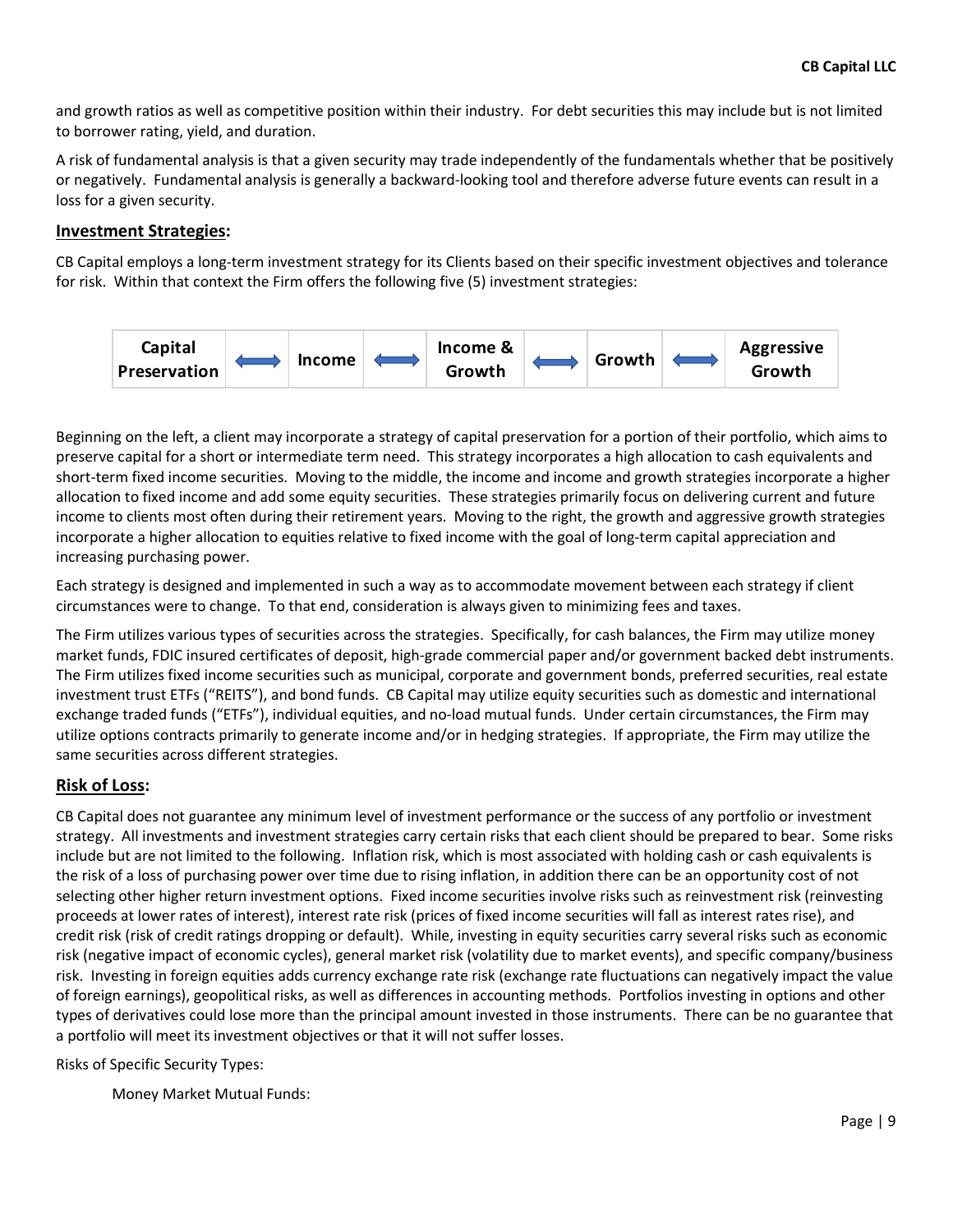and growth ratios as well as competitive position within their industry. For debt securities this may include but is not limited to borrower rating, yield, and duration.

A risk of fundamental analysis is that a given security may trade independently of the fundamentals whether that be positively or negatively. Fundamental analysis is generally a backward-looking tool and therefore adverse future events can result in a loss for a given security.

#### Investment Strategies:

CB Capital employs a long-term investment strategy for its Clients based on their specific investment objectives and tolerance for risk. Within that context the Firm offers the following five (5) investment strategies:



Beginning on the left, a client may incorporate a strategy of capital preservation for a portion of their portfolio, which aims to preserve capital for a short or intermediate term need. This strategy incorporates a high allocation to cash equivalents and short-term fixed income securities. Moving to the middle, the income and income and growth strategies incorporate a higher allocation to fixed income and add some equity securities. These strategies primarily focus on delivering current and future income to clients most often during their retirement years. Moving to the right, the growth and aggressive growth strategies incorporate a higher allocation to equities relative to fixed income with the goal of long-term capital appreciation and increasing purchasing power.

Each strategy is designed and implemented in such a way as to accommodate movement between each strategy if client circumstances were to change. To that end, consideration is always given to minimizing fees and taxes.

The Firm utilizes various types of securities across the strategies. Specifically, for cash balances, the Firm may utilize money market funds, FDIC insured certificates of deposit, high-grade commercial paper and/or government backed debt instruments. The Firm utilizes fixed income securities such as municipal, corporate and government bonds, preferred securities, real estate investment trust ETFs ("REITS"), and bond funds. CB Capital may utilize equity securities such as domestic and international exchange traded funds ("ETFs"), individual equities, and no-load mutual funds. Under certain circumstances, the Firm may utilize options contracts primarily to generate income and/or in hedging strategies. If appropriate, the Firm may utilize the same securities across different strategies.

#### Risk of Loss:

CB Capital does not guarantee any minimum level of investment performance or the success of any portfolio or investment strategy. All investments and investment strategies carry certain risks that each client should be prepared to bear. Some risks include but are not limited to the following. Inflation risk, which is most associated with holding cash or cash equivalents is the risk of a loss of purchasing power over time due to rising inflation, in addition there can be an opportunity cost of not selecting other higher return investment options. Fixed income securities involve risks such as reinvestment risk (reinvesting proceeds at lower rates of interest), interest rate risk (prices of fixed income securities will fall as interest rates rise), and credit risk (risk of credit ratings dropping or default). While, investing in equity securities carry several risks such as economic risk (negative impact of economic cycles), general market risk (volatility due to market events), and specific company/business risk. Investing in foreign equities adds currency exchange rate risk (exchange rate fluctuations can negatively impact the value of foreign earnings), geopolitical risks, as well as differences in accounting methods. Portfolios investing in options and other types of derivatives could lose more than the principal amount invested in those instruments. There can be no guarantee that a portfolio will meet its investment objectives or that it will not suffer losses.

Risks of Specific Security Types:

Money Market Mutual Funds: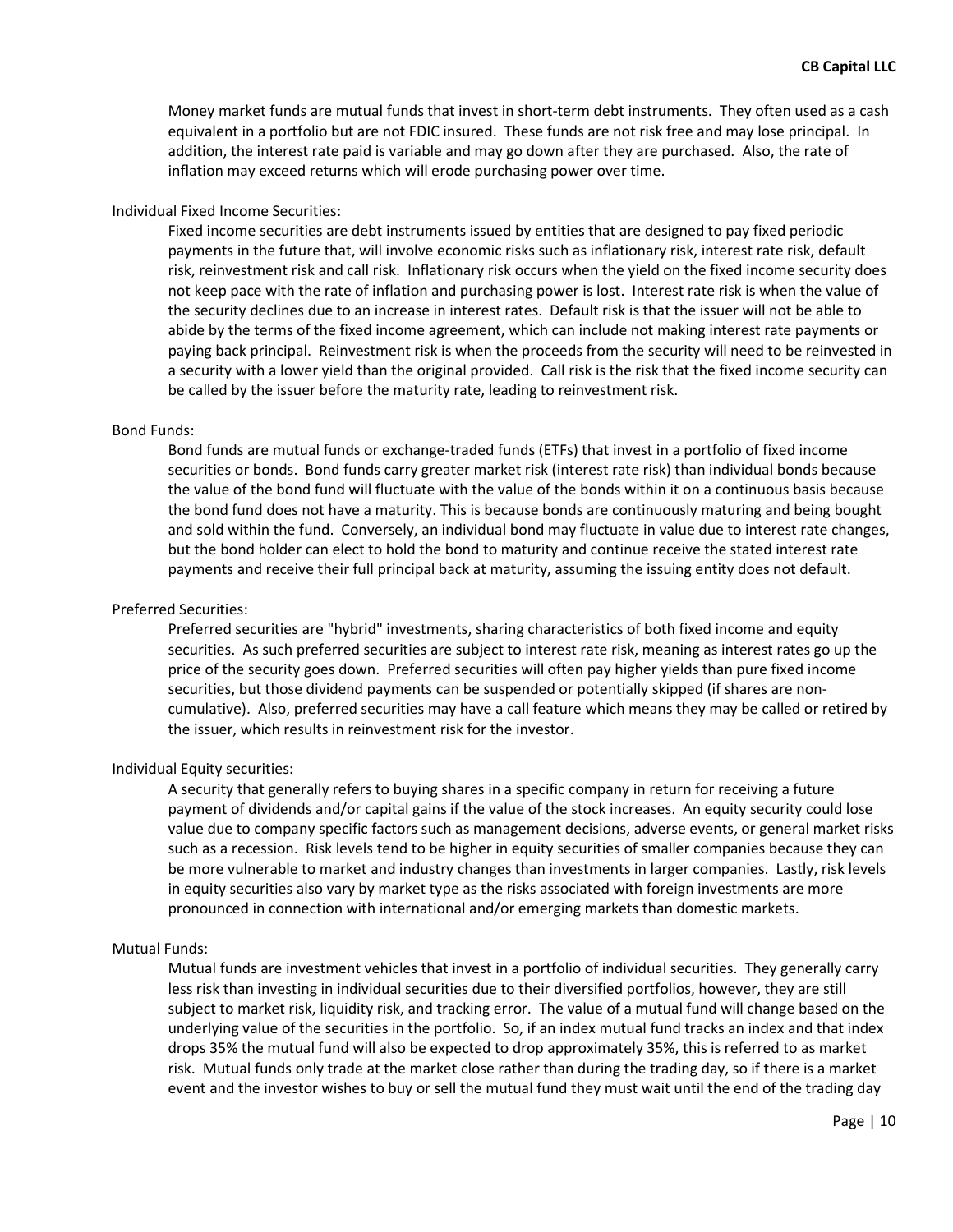Money market funds are mutual funds that invest in short-term debt instruments. They often used as a cash equivalent in a portfolio but are not FDIC insured. These funds are not risk free and may lose principal. In addition, the interest rate paid is variable and may go down after they are purchased. Also, the rate of inflation may exceed returns which will erode purchasing power over time.

#### Individual Fixed Income Securities:

Fixed income securities are debt instruments issued by entities that are designed to pay fixed periodic payments in the future that, will involve economic risks such as inflationary risk, interest rate risk, default risk, reinvestment risk and call risk. Inflationary risk occurs when the yield on the fixed income security does not keep pace with the rate of inflation and purchasing power is lost. Interest rate risk is when the value of the security declines due to an increase in interest rates. Default risk is that the issuer will not be able to abide by the terms of the fixed income agreement, which can include not making interest rate payments or paying back principal. Reinvestment risk is when the proceeds from the security will need to be reinvested in a security with a lower yield than the original provided. Call risk is the risk that the fixed income security can be called by the issuer before the maturity rate, leading to reinvestment risk.

#### Bond Funds:

Bond funds are mutual funds or exchange-traded funds (ETFs) that invest in a portfolio of fixed income securities or bonds. Bond funds carry greater market risk (interest rate risk) than individual bonds because the value of the bond fund will fluctuate with the value of the bonds within it on a continuous basis because the bond fund does not have a maturity. This is because bonds are continuously maturing and being bought and sold within the fund. Conversely, an individual bond may fluctuate in value due to interest rate changes, but the bond holder can elect to hold the bond to maturity and continue receive the stated interest rate payments and receive their full principal back at maturity, assuming the issuing entity does not default.

#### Preferred Securities:

Preferred securities are "hybrid" investments, sharing characteristics of both fixed income and equity securities. As such preferred securities are subject to interest rate risk, meaning as interest rates go up the price of the security goes down. Preferred securities will often pay higher yields than pure fixed income securities, but those dividend payments can be suspended or potentially skipped (if shares are noncumulative). Also, preferred securities may have a call feature which means they may be called or retired by the issuer, which results in reinvestment risk for the investor.

#### Individual Equity securities:

A security that generally refers to buying shares in a specific company in return for receiving a future payment of dividends and/or capital gains if the value of the stock increases. An equity security could lose value due to company specific factors such as management decisions, adverse events, or general market risks such as a recession. Risk levels tend to be higher in equity securities of smaller companies because they can be more vulnerable to market and industry changes than investments in larger companies. Lastly, risk levels in equity securities also vary by market type as the risks associated with foreign investments are more pronounced in connection with international and/or emerging markets than domestic markets.

#### Mutual Funds:

Mutual funds are investment vehicles that invest in a portfolio of individual securities. They generally carry less risk than investing in individual securities due to their diversified portfolios, however, they are still subject to market risk, liquidity risk, and tracking error. The value of a mutual fund will change based on the underlying value of the securities in the portfolio. So, if an index mutual fund tracks an index and that index drops 35% the mutual fund will also be expected to drop approximately 35%, this is referred to as market risk. Mutual funds only trade at the market close rather than during the trading day, so if there is a market event and the investor wishes to buy or sell the mutual fund they must wait until the end of the trading day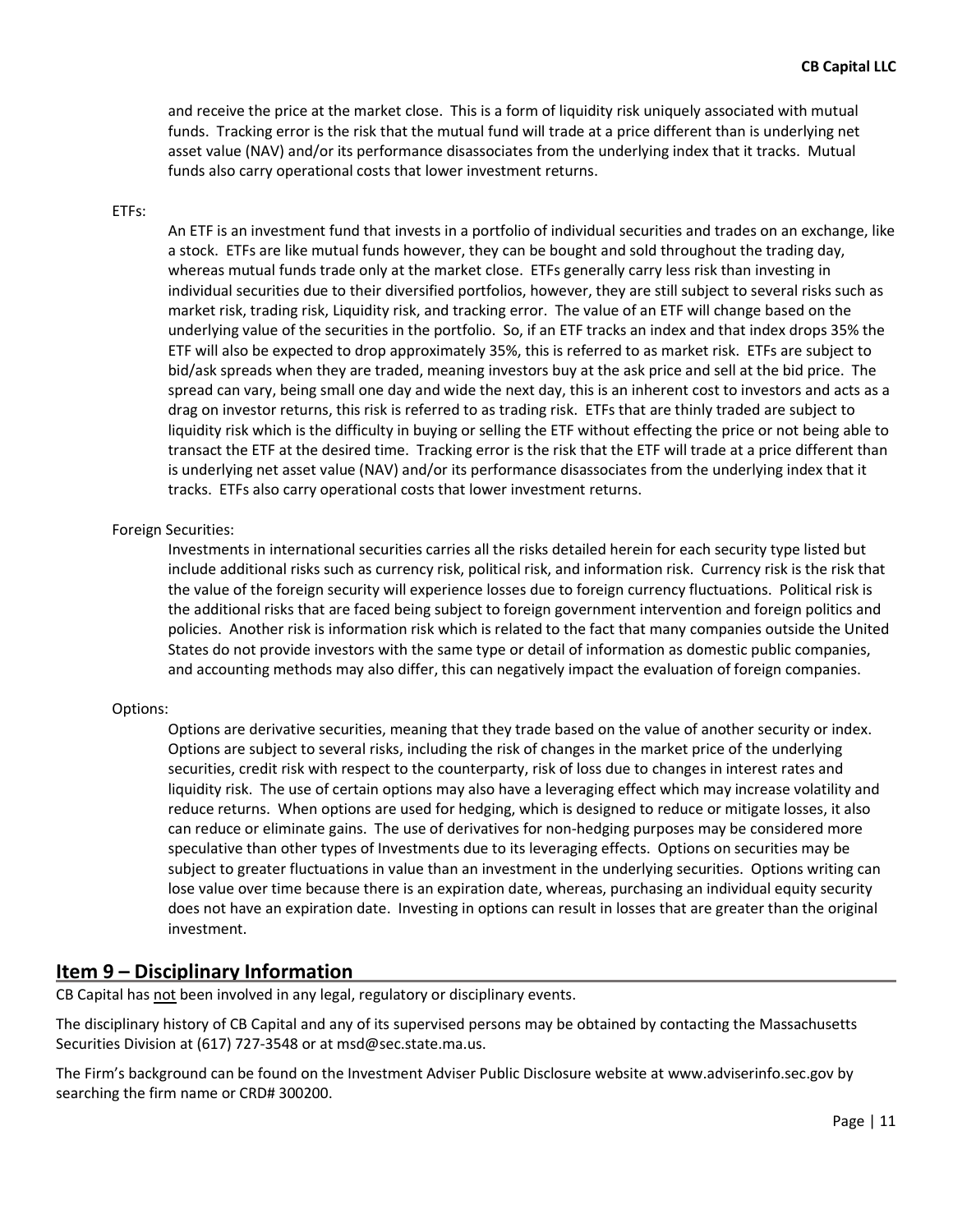and receive the price at the market close. This is a form of liquidity risk uniquely associated with mutual funds. Tracking error is the risk that the mutual fund will trade at a price different than is underlying net asset value (NAV) and/or its performance disassociates from the underlying index that it tracks. Mutual funds also carry operational costs that lower investment returns.

#### ETFs:

An ETF is an investment fund that invests in a portfolio of individual securities and trades on an exchange, like a stock. ETFs are like mutual funds however, they can be bought and sold throughout the trading day, whereas mutual funds trade only at the market close. ETFs generally carry less risk than investing in individual securities due to their diversified portfolios, however, they are still subject to several risks such as market risk, trading risk, Liquidity risk, and tracking error. The value of an ETF will change based on the underlying value of the securities in the portfolio. So, if an ETF tracks an index and that index drops 35% the ETF will also be expected to drop approximately 35%, this is referred to as market risk. ETFs are subject to bid/ask spreads when they are traded, meaning investors buy at the ask price and sell at the bid price. The spread can vary, being small one day and wide the next day, this is an inherent cost to investors and acts as a drag on investor returns, this risk is referred to as trading risk. ETFs that are thinly traded are subject to liquidity risk which is the difficulty in buying or selling the ETF without effecting the price or not being able to transact the ETF at the desired time. Tracking error is the risk that the ETF will trade at a price different than is underlying net asset value (NAV) and/or its performance disassociates from the underlying index that it tracks. ETFs also carry operational costs that lower investment returns.

#### Foreign Securities:

Investments in international securities carries all the risks detailed herein for each security type listed but include additional risks such as currency risk, political risk, and information risk. Currency risk is the risk that the value of the foreign security will experience losses due to foreign currency fluctuations. Political risk is the additional risks that are faced being subject to foreign government intervention and foreign politics and policies. Another risk is information risk which is related to the fact that many companies outside the United States do not provide investors with the same type or detail of information as domestic public companies, and accounting methods may also differ, this can negatively impact the evaluation of foreign companies.

#### Options:

Options are derivative securities, meaning that they trade based on the value of another security or index. Options are subject to several risks, including the risk of changes in the market price of the underlying securities, credit risk with respect to the counterparty, risk of loss due to changes in interest rates and liquidity risk. The use of certain options may also have a leveraging effect which may increase volatility and reduce returns. When options are used for hedging, which is designed to reduce or mitigate losses, it also can reduce or eliminate gains. The use of derivatives for non-hedging purposes may be considered more speculative than other types of Investments due to its leveraging effects. Options on securities may be subject to greater fluctuations in value than an investment in the underlying securities. Options writing can lose value over time because there is an expiration date, whereas, purchasing an individual equity security does not have an expiration date. Investing in options can result in losses that are greater than the original investment.

# Item 9 – Disciplinary Information

CB Capital has not been involved in any legal, regulatory or disciplinary events.

The disciplinary history of CB Capital and any of its supervised persons may be obtained by contacting the Massachusetts Securities Division at (617) 727-3548 or at msd@sec.state.ma.us.

The Firm's background can be found on the Investment Adviser Public Disclosure website at www.adviserinfo.sec.gov by searching the firm name or CRD# 300200.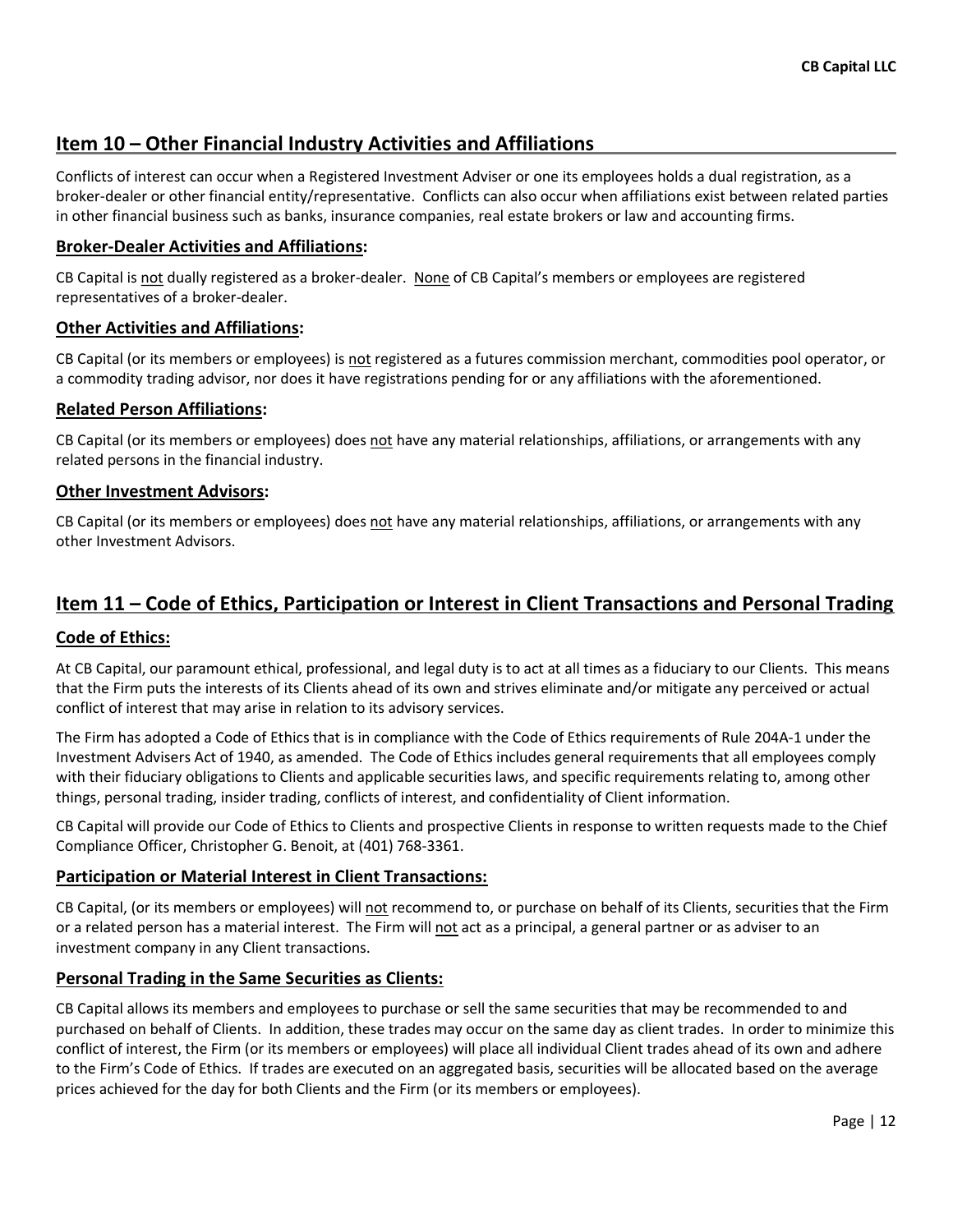# Item 10 – Other Financial Industry Activities and Affiliations

Conflicts of interest can occur when a Registered Investment Adviser or one its employees holds a dual registration, as a broker-dealer or other financial entity/representative. Conflicts can also occur when affiliations exist between related parties in other financial business such as banks, insurance companies, real estate brokers or law and accounting firms.

#### Broker-Dealer Activities and Affiliations:

CB Capital is not dually registered as a broker-dealer. None of CB Capital's members or employees are registered representatives of a broker-dealer.

#### Other Activities and Affiliations:

CB Capital (or its members or employees) is not registered as a futures commission merchant, commodities pool operator, or a commodity trading advisor, nor does it have registrations pending for or any affiliations with the aforementioned.

#### Related Person Affiliations:

CB Capital (or its members or employees) does not have any material relationships, affiliations, or arrangements with any related persons in the financial industry.

#### Other Investment Advisors:

CB Capital (or its members or employees) does not have any material relationships, affiliations, or arrangements with any other Investment Advisors.

# Item 11 – Code of Ethics, Participation or Interest in Client Transactions and Personal Trading

#### Code of Ethics:

At CB Capital, our paramount ethical, professional, and legal duty is to act at all times as a fiduciary to our Clients. This means that the Firm puts the interests of its Clients ahead of its own and strives eliminate and/or mitigate any perceived or actual conflict of interest that may arise in relation to its advisory services.

The Firm has adopted a Code of Ethics that is in compliance with the Code of Ethics requirements of Rule 204A-1 under the Investment Advisers Act of 1940, as amended. The Code of Ethics includes general requirements that all employees comply with their fiduciary obligations to Clients and applicable securities laws, and specific requirements relating to, among other things, personal trading, insider trading, conflicts of interest, and confidentiality of Client information.

CB Capital will provide our Code of Ethics to Clients and prospective Clients in response to written requests made to the Chief Compliance Officer, Christopher G. Benoit, at (401) 768-3361.

#### Participation or Material Interest in Client Transactions:

CB Capital, (or its members or employees) will not recommend to, or purchase on behalf of its Clients, securities that the Firm or a related person has a material interest. The Firm will not act as a principal, a general partner or as adviser to an investment company in any Client transactions.

#### Personal Trading in the Same Securities as Clients:

CB Capital allows its members and employees to purchase or sell the same securities that may be recommended to and purchased on behalf of Clients. In addition, these trades may occur on the same day as client trades. In order to minimize this conflict of interest, the Firm (or its members or employees) will place all individual Client trades ahead of its own and adhere to the Firm's Code of Ethics. If trades are executed on an aggregated basis, securities will be allocated based on the average prices achieved for the day for both Clients and the Firm (or its members or employees).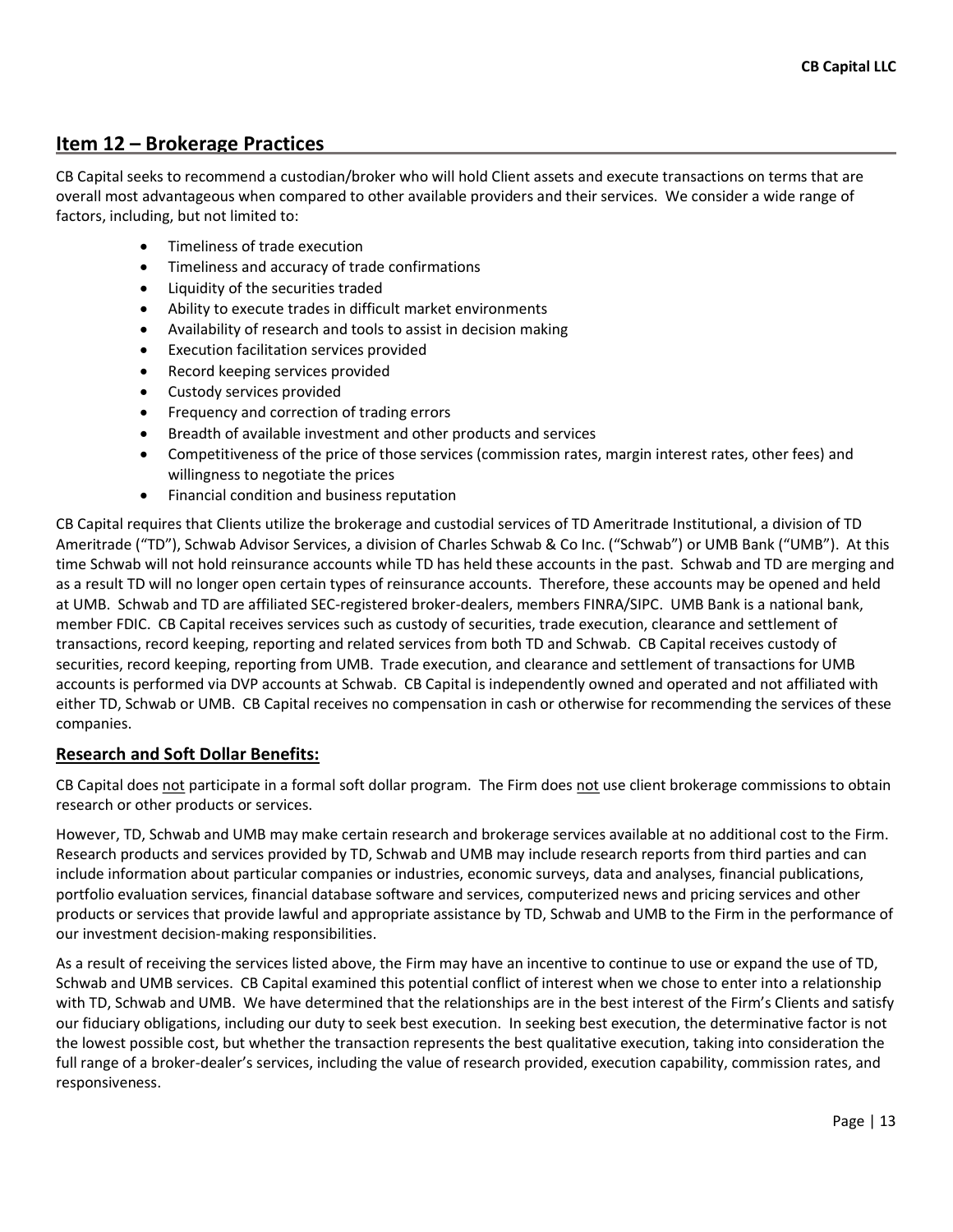# Item 12 – Brokerage Practices

CB Capital seeks to recommend a custodian/broker who will hold Client assets and execute transactions on terms that are overall most advantageous when compared to other available providers and their services. We consider a wide range of factors, including, but not limited to:

- Timeliness of trade execution
- Timeliness and accuracy of trade confirmations
- Liquidity of the securities traded
- Ability to execute trades in difficult market environments
- Availability of research and tools to assist in decision making
- Execution facilitation services provided
- Record keeping services provided
- Custody services provided
- Frequency and correction of trading errors
- Breadth of available investment and other products and services
- Competitiveness of the price of those services (commission rates, margin interest rates, other fees) and willingness to negotiate the prices
- Financial condition and business reputation

CB Capital requires that Clients utilize the brokerage and custodial services of TD Ameritrade Institutional, a division of TD Ameritrade ("TD"), Schwab Advisor Services, a division of Charles Schwab & Co Inc. ("Schwab") or UMB Bank ("UMB"). At this time Schwab will not hold reinsurance accounts while TD has held these accounts in the past. Schwab and TD are merging and as a result TD will no longer open certain types of reinsurance accounts. Therefore, these accounts may be opened and held at UMB. Schwab and TD are affiliated SEC-registered broker-dealers, members FINRA/SIPC. UMB Bank is a national bank, member FDIC. CB Capital receives services such as custody of securities, trade execution, clearance and settlement of transactions, record keeping, reporting and related services from both TD and Schwab. CB Capital receives custody of securities, record keeping, reporting from UMB. Trade execution, and clearance and settlement of transactions for UMB accounts is performed via DVP accounts at Schwab. CB Capital is independently owned and operated and not affiliated with either TD, Schwab or UMB. CB Capital receives no compensation in cash or otherwise for recommending the services of these companies.

#### Research and Soft Dollar Benefits:

CB Capital does not participate in a formal soft dollar program. The Firm does not use client brokerage commissions to obtain research or other products or services.

However, TD, Schwab and UMB may make certain research and brokerage services available at no additional cost to the Firm. Research products and services provided by TD, Schwab and UMB may include research reports from third parties and can include information about particular companies or industries, economic surveys, data and analyses, financial publications, portfolio evaluation services, financial database software and services, computerized news and pricing services and other products or services that provide lawful and appropriate assistance by TD, Schwab and UMB to the Firm in the performance of our investment decision-making responsibilities.

As a result of receiving the services listed above, the Firm may have an incentive to continue to use or expand the use of TD, Schwab and UMB services. CB Capital examined this potential conflict of interest when we chose to enter into a relationship with TD, Schwab and UMB. We have determined that the relationships are in the best interest of the Firm's Clients and satisfy our fiduciary obligations, including our duty to seek best execution. In seeking best execution, the determinative factor is not the lowest possible cost, but whether the transaction represents the best qualitative execution, taking into consideration the full range of a broker-dealer's services, including the value of research provided, execution capability, commission rates, and responsiveness.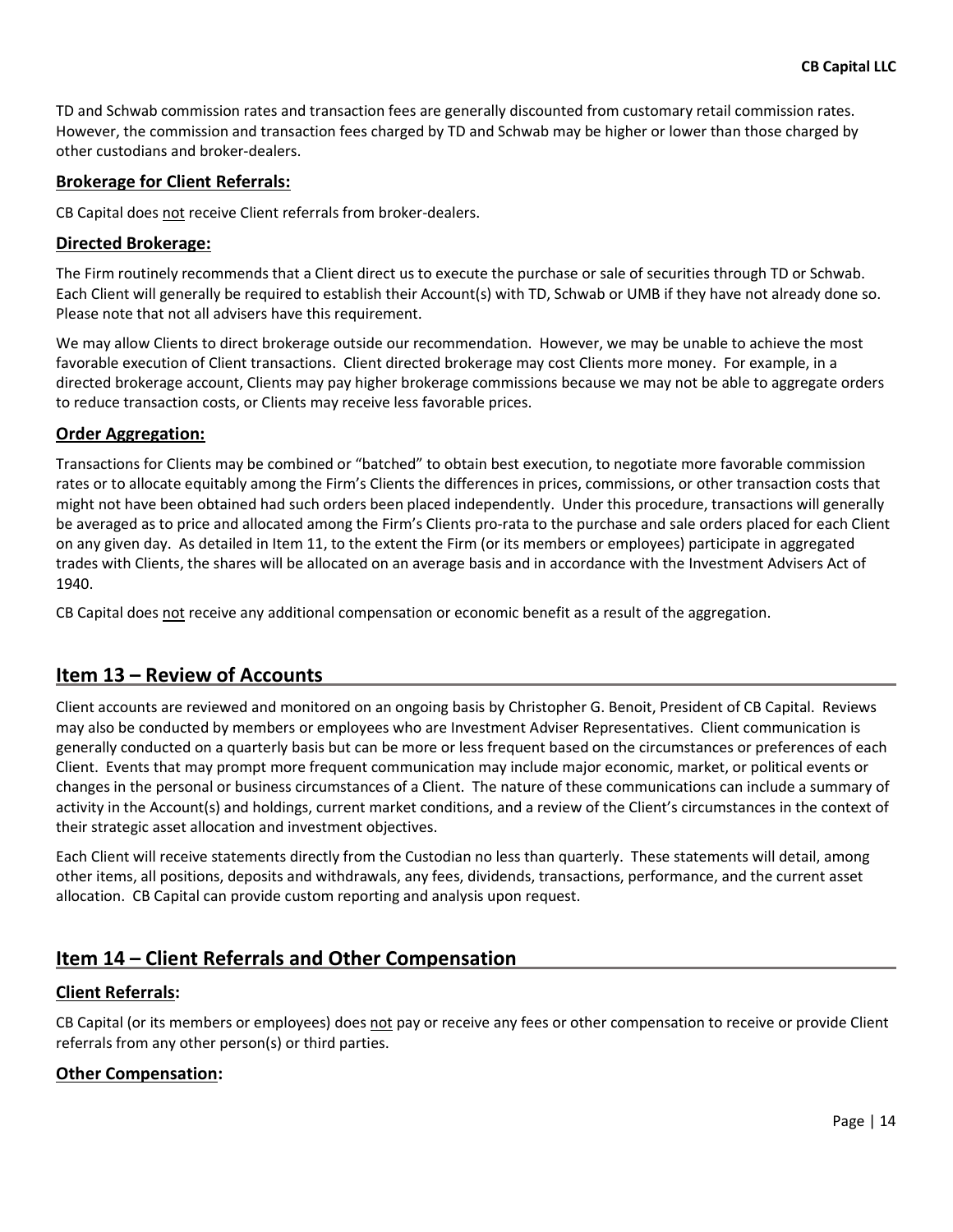TD and Schwab commission rates and transaction fees are generally discounted from customary retail commission rates. However, the commission and transaction fees charged by TD and Schwab may be higher or lower than those charged by other custodians and broker-dealers.

#### Brokerage for Client Referrals:

CB Capital does not receive Client referrals from broker-dealers.

#### Directed Brokerage:

The Firm routinely recommends that a Client direct us to execute the purchase or sale of securities through TD or Schwab. Each Client will generally be required to establish their Account(s) with TD, Schwab or UMB if they have not already done so. Please note that not all advisers have this requirement.

We may allow Clients to direct brokerage outside our recommendation. However, we may be unable to achieve the most favorable execution of Client transactions. Client directed brokerage may cost Clients more money. For example, in a directed brokerage account, Clients may pay higher brokerage commissions because we may not be able to aggregate orders to reduce transaction costs, or Clients may receive less favorable prices.

#### Order Aggregation:

Transactions for Clients may be combined or "batched" to obtain best execution, to negotiate more favorable commission rates or to allocate equitably among the Firm's Clients the differences in prices, commissions, or other transaction costs that might not have been obtained had such orders been placed independently. Under this procedure, transactions will generally be averaged as to price and allocated among the Firm's Clients pro-rata to the purchase and sale orders placed for each Client on any given day. As detailed in Item 11, to the extent the Firm (or its members or employees) participate in aggregated trades with Clients, the shares will be allocated on an average basis and in accordance with the Investment Advisers Act of 1940.

CB Capital does not receive any additional compensation or economic benefit as a result of the aggregation.

# Item 13 – Review of Accounts

Client accounts are reviewed and monitored on an ongoing basis by Christopher G. Benoit, President of CB Capital. Reviews may also be conducted by members or employees who are Investment Adviser Representatives. Client communication is generally conducted on a quarterly basis but can be more or less frequent based on the circumstances or preferences of each Client. Events that may prompt more frequent communication may include major economic, market, or political events or changes in the personal or business circumstances of a Client. The nature of these communications can include a summary of activity in the Account(s) and holdings, current market conditions, and a review of the Client's circumstances in the context of their strategic asset allocation and investment objectives.

Each Client will receive statements directly from the Custodian no less than quarterly. These statements will detail, among other items, all positions, deposits and withdrawals, any fees, dividends, transactions, performance, and the current asset allocation. CB Capital can provide custom reporting and analysis upon request.

# Item 14 – Client Referrals and Other Compensation

#### Client Referrals:

CB Capital (or its members or employees) does not pay or receive any fees or other compensation to receive or provide Client referrals from any other person(s) or third parties.

#### Other Compensation: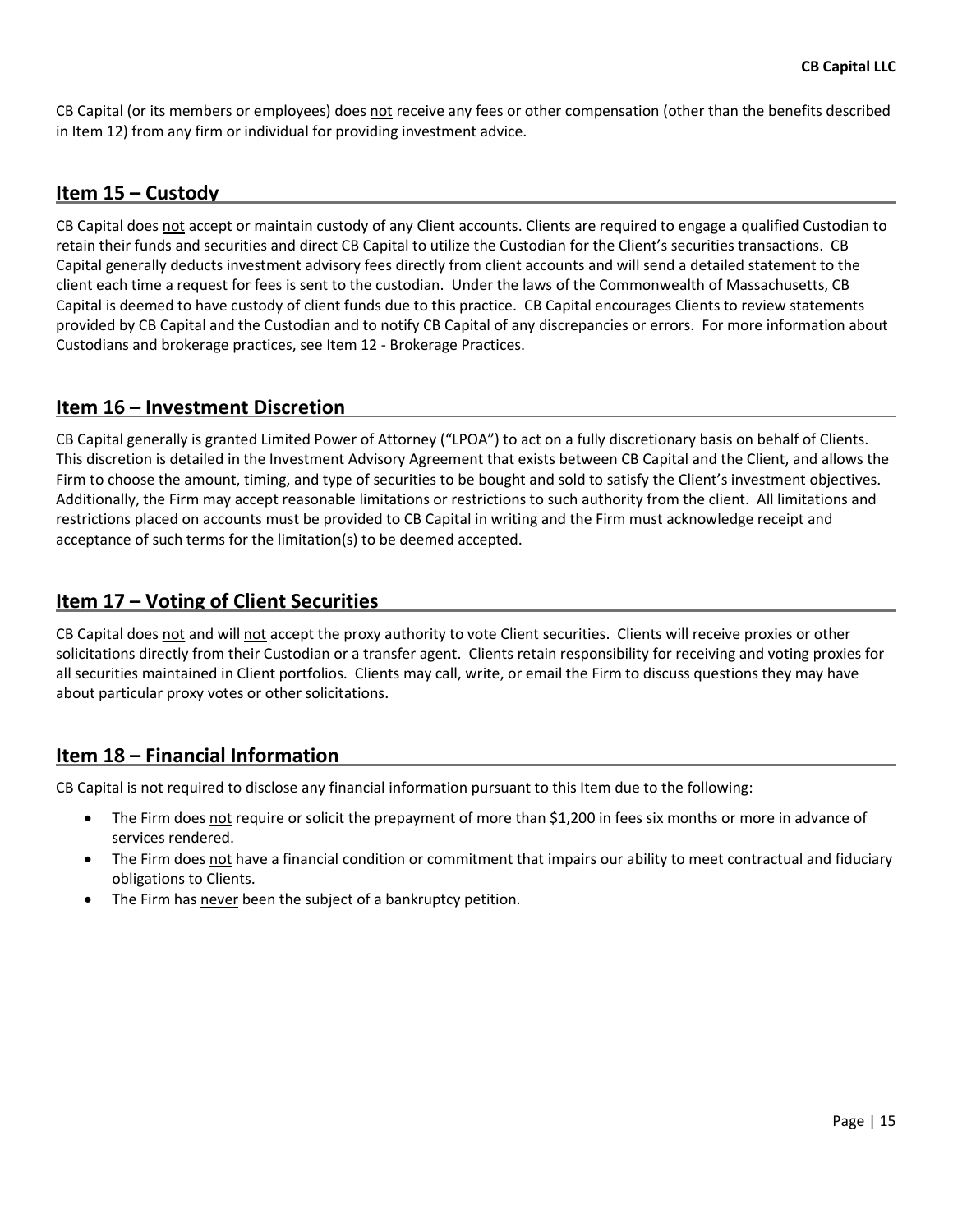CB Capital (or its members or employees) does not receive any fees or other compensation (other than the benefits described in Item 12) from any firm or individual for providing investment advice.

# Item 15 – Custody

CB Capital does not accept or maintain custody of any Client accounts. Clients are required to engage a qualified Custodian to retain their funds and securities and direct CB Capital to utilize the Custodian for the Client's securities transactions. CB Capital generally deducts investment advisory fees directly from client accounts and will send a detailed statement to the client each time a request for fees is sent to the custodian. Under the laws of the Commonwealth of Massachusetts, CB Capital is deemed to have custody of client funds due to this practice. CB Capital encourages Clients to review statements provided by CB Capital and the Custodian and to notify CB Capital of any discrepancies or errors. For more information about Custodians and brokerage practices, see Item 12 - Brokerage Practices.

# Item 16 – Investment Discretion

CB Capital generally is granted Limited Power of Attorney ("LPOA") to act on a fully discretionary basis on behalf of Clients. This discretion is detailed in the Investment Advisory Agreement that exists between CB Capital and the Client, and allows the Firm to choose the amount, timing, and type of securities to be bought and sold to satisfy the Client's investment objectives. Additionally, the Firm may accept reasonable limitations or restrictions to such authority from the client. All limitations and restrictions placed on accounts must be provided to CB Capital in writing and the Firm must acknowledge receipt and acceptance of such terms for the limitation(s) to be deemed accepted.

# Item 17 – Voting of Client Securities

CB Capital does not and will not accept the proxy authority to vote Client securities. Clients will receive proxies or other solicitations directly from their Custodian or a transfer agent. Clients retain responsibility for receiving and voting proxies for all securities maintained in Client portfolios. Clients may call, write, or email the Firm to discuss questions they may have about particular proxy votes or other solicitations.

# Item 18 – Financial Information

CB Capital is not required to disclose any financial information pursuant to this Item due to the following:

- The Firm does not require or solicit the prepayment of more than \$1,200 in fees six months or more in advance of services rendered.
- The Firm does not have a financial condition or commitment that impairs our ability to meet contractual and fiduciary obligations to Clients.
- The Firm has never been the subject of a bankruptcy petition.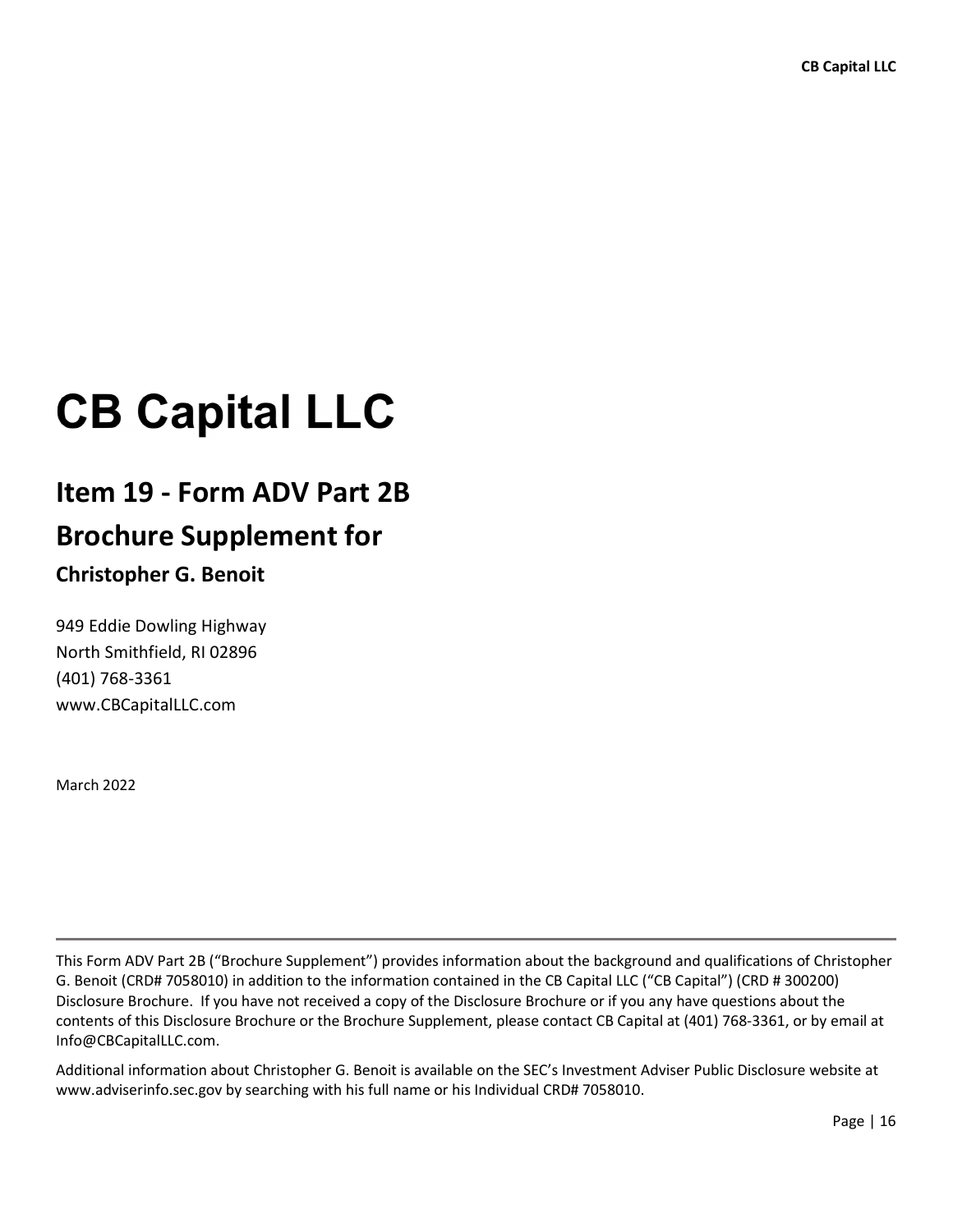# **CB Capital LLC**

# Item 19 - Form ADV Part 2B Brochure Supplement for

# Christopher G. Benoit

949 Eddie Dowling Highway North Smithfield, RI 02896 (401) 768-3361 www.CBCapitalLLC.com

March 2022

L

This Form ADV Part 2B ("Brochure Supplement") provides information about the background and qualifications of Christopher G. Benoit (CRD# 7058010) in addition to the information contained in the CB Capital LLC ("CB Capital") (CRD # 300200) Disclosure Brochure. If you have not received a copy of the Disclosure Brochure or if you any have questions about the contents of this Disclosure Brochure or the Brochure Supplement, please contact CB Capital at (401) 768-3361, or by email at Info@CBCapitalLLC.com.

Additional information about Christopher G. Benoit is available on the SEC's Investment Adviser Public Disclosure website at www.adviserinfo.sec.gov by searching with his full name or his Individual CRD# 7058010.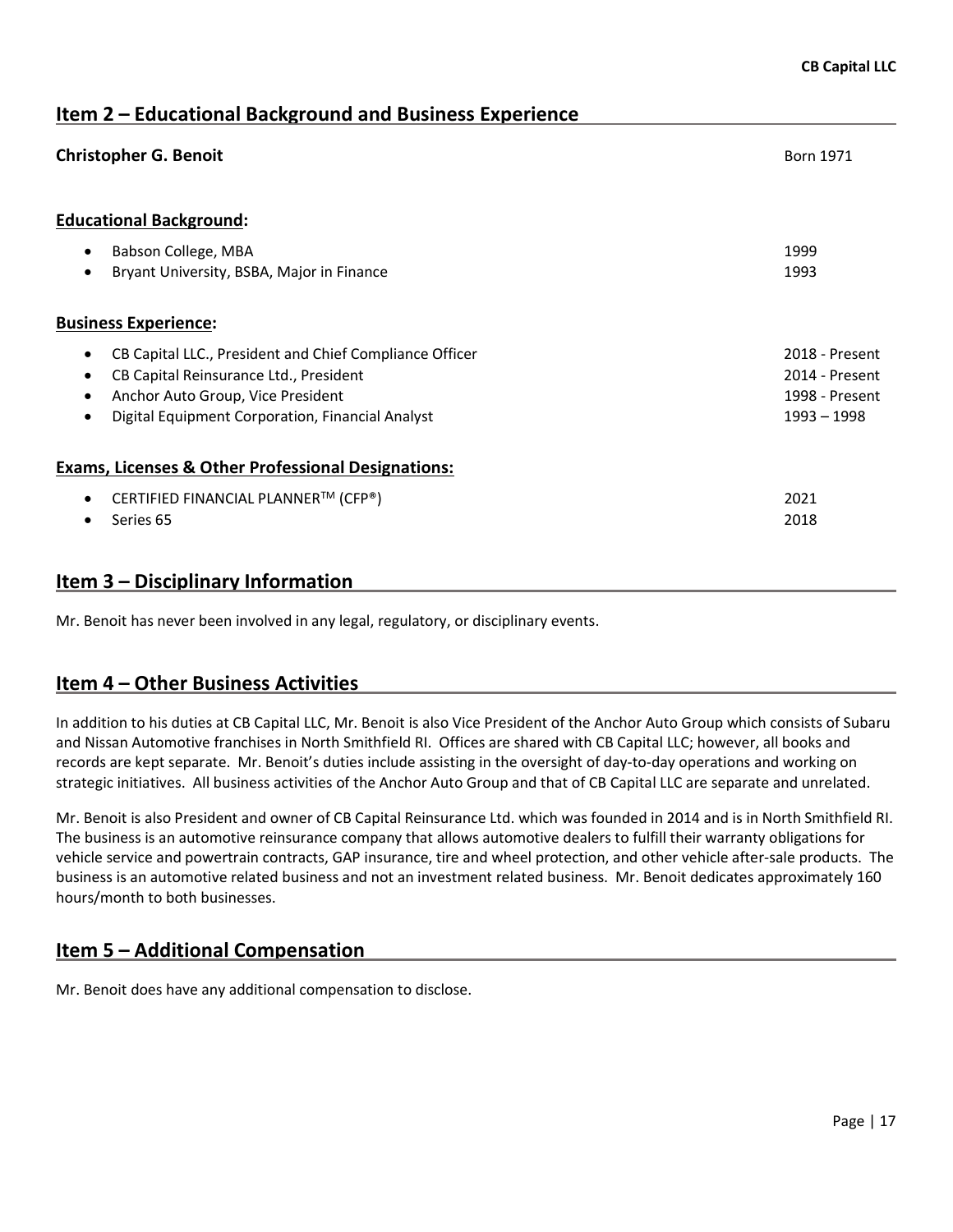Item 2 – Educational Background and Business Experience **Christopher G. Benoit Born 1971** Born 1971 Educational Background: Babson College, MBA 1999 **•** Bryant University, BSBA, Major in Finance 1993 **1993** Business Experience: • CB Capital LLC., President and Chief Compliance Officer 2018 - 2018 - Present CB Capital Reinsurance Ltd., President 2014 - Present Anchor Auto Group, Vice President 1998 - Present **•** Digital Equipment Corporation, Financial Analyst 1997 1998 – 1998 – 1998 – 1998 Exams, Licenses & Other Professional Designations:  $\bullet$  CERTIFIED FINANCIAL PLANNER<sup>TM</sup> (CFP®) 2021 ● Series 65 2018

# Item 3 – Disciplinary Information

Mr. Benoit has never been involved in any legal, regulatory, or disciplinary events.

# Item 4 – Other Business Activities

In addition to his duties at CB Capital LLC, Mr. Benoit is also Vice President of the Anchor Auto Group which consists of Subaru and Nissan Automotive franchises in North Smithfield RI. Offices are shared with CB Capital LLC; however, all books and records are kept separate. Mr. Benoit's duties include assisting in the oversight of day-to-day operations and working on strategic initiatives. All business activities of the Anchor Auto Group and that of CB Capital LLC are separate and unrelated.

Mr. Benoit is also President and owner of CB Capital Reinsurance Ltd. which was founded in 2014 and is in North Smithfield RI. The business is an automotive reinsurance company that allows automotive dealers to fulfill their warranty obligations for vehicle service and powertrain contracts, GAP insurance, tire and wheel protection, and other vehicle after-sale products. The business is an automotive related business and not an investment related business. Mr. Benoit dedicates approximately 160 hours/month to both businesses.

# Item 5 – Additional Compensation

Mr. Benoit does have any additional compensation to disclose.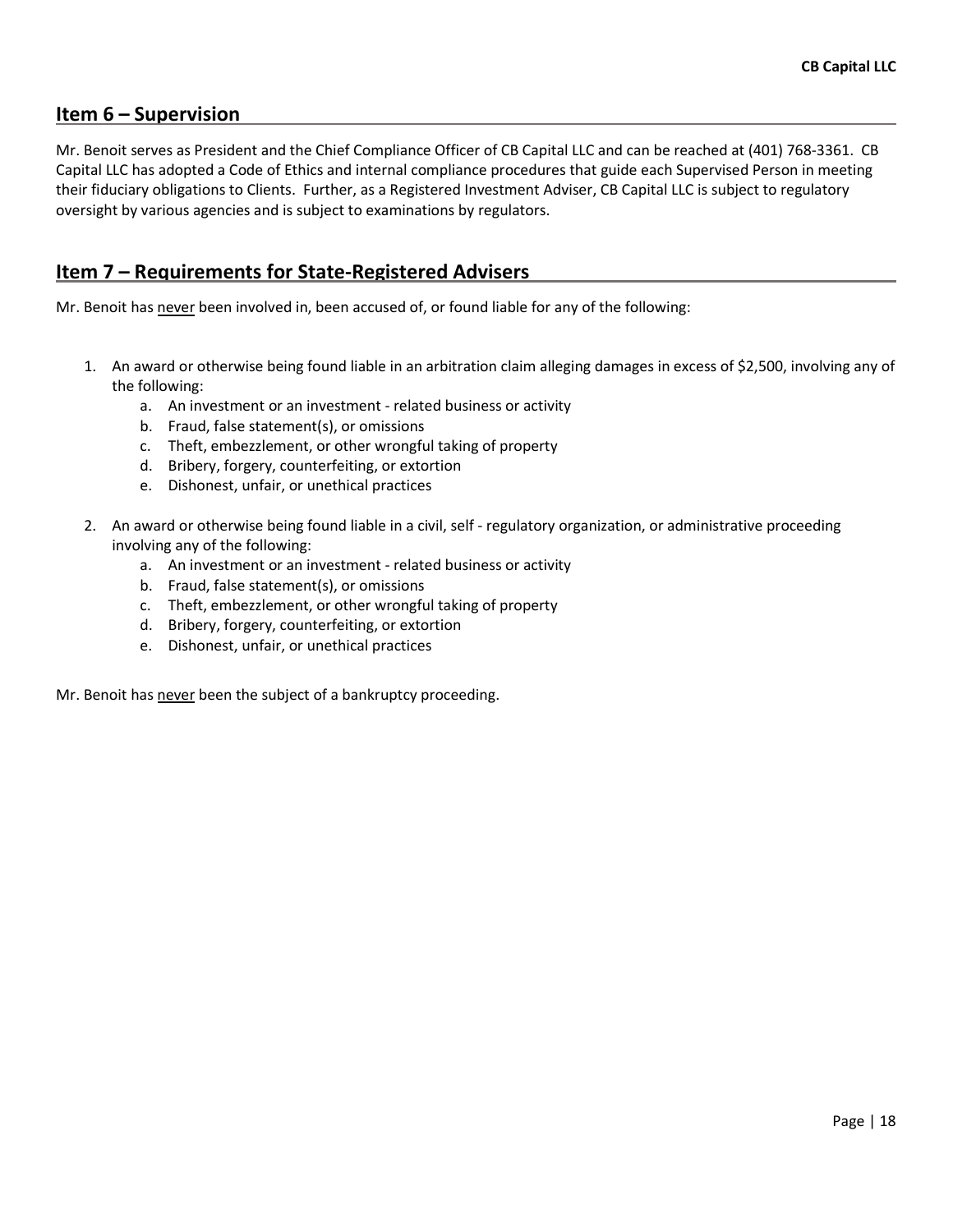# Item 6 – Supervision

Mr. Benoit serves as President and the Chief Compliance Officer of CB Capital LLC and can be reached at (401) 768-3361. CB Capital LLC has adopted a Code of Ethics and internal compliance procedures that guide each Supervised Person in meeting their fiduciary obligations to Clients. Further, as a Registered Investment Adviser, CB Capital LLC is subject to regulatory oversight by various agencies and is subject to examinations by regulators.

# Item 7 – Requirements for State-Registered Advisers

Mr. Benoit has never been involved in, been accused of, or found liable for any of the following:

- 1. An award or otherwise being found liable in an arbitration claim alleging damages in excess of \$2,500, involving any of the following:
	- a. An investment or an investment related business or activity
	- b. Fraud, false statement(s), or omissions
	- c. Theft, embezzlement, or other wrongful taking of property
	- d. Bribery, forgery, counterfeiting, or extortion
	- e. Dishonest, unfair, or unethical practices
- 2. An award or otherwise being found liable in a civil, self regulatory organization, or administrative proceeding involving any of the following:
	- a. An investment or an investment related business or activity
	- b. Fraud, false statement(s), or omissions
	- c. Theft, embezzlement, or other wrongful taking of property
	- d. Bribery, forgery, counterfeiting, or extortion
	- e. Dishonest, unfair, or unethical practices

Mr. Benoit has never been the subject of a bankruptcy proceeding.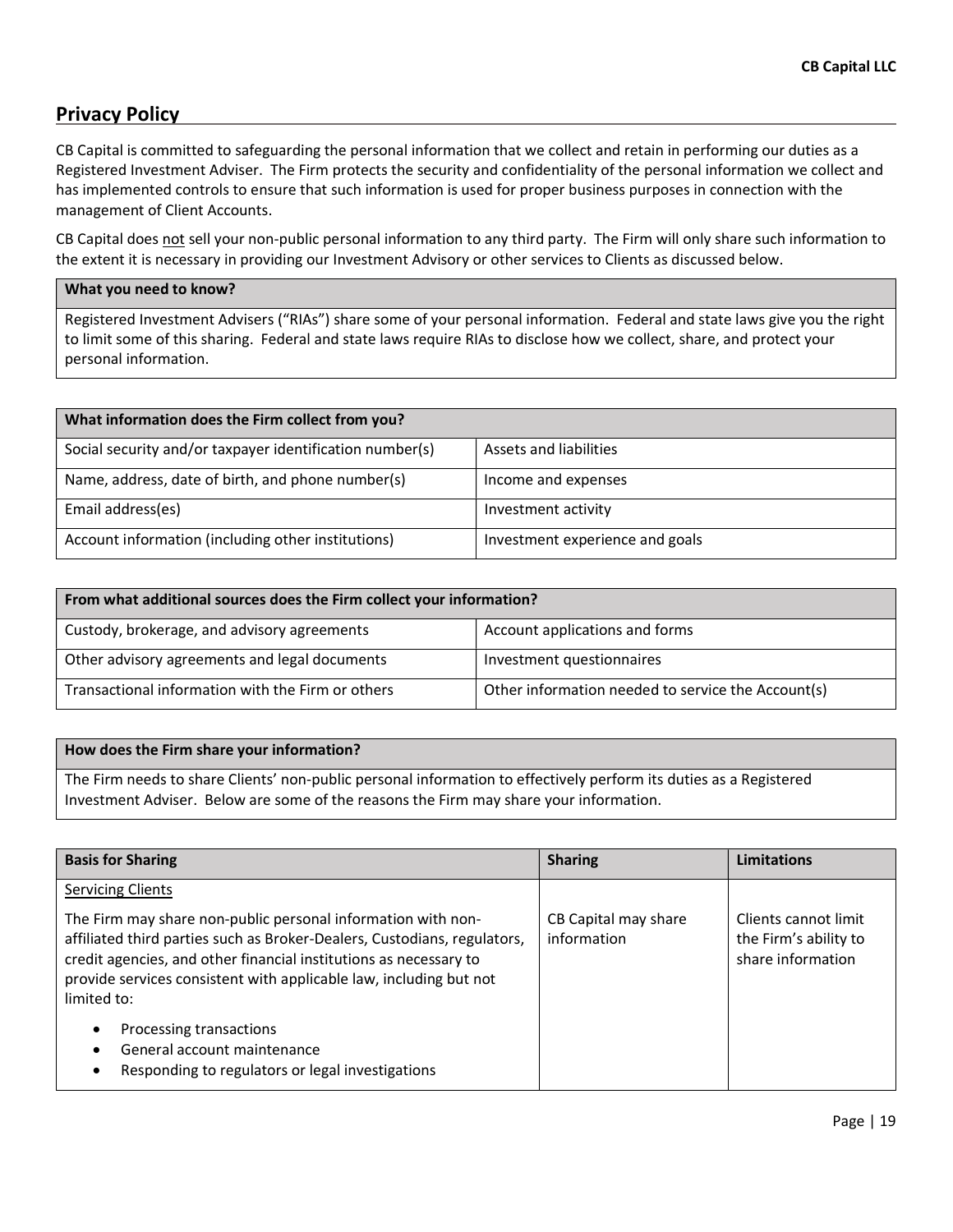# Privacy Policy

CB Capital is committed to safeguarding the personal information that we collect and retain in performing our duties as a Registered Investment Adviser. The Firm protects the security and confidentiality of the personal information we collect and has implemented controls to ensure that such information is used for proper business purposes in connection with the management of Client Accounts.

CB Capital does not sell your non-public personal information to any third party. The Firm will only share such information to the extent it is necessary in providing our Investment Advisory or other services to Clients as discussed below.

#### What you need to know?

Registered Investment Advisers ("RIAs") share some of your personal information. Federal and state laws give you the right to limit some of this sharing. Federal and state laws require RIAs to disclose how we collect, share, and protect your personal information.

| What information does the Firm collect from you?         |                                 |  |
|----------------------------------------------------------|---------------------------------|--|
| Social security and/or taxpayer identification number(s) | Assets and liabilities          |  |
| Name, address, date of birth, and phone number(s)        | Income and expenses             |  |
| Email address(es)                                        | Investment activity             |  |
| Account information (including other institutions)       | Investment experience and goals |  |

| From what additional sources does the Firm collect your information? |                                                    |  |  |
|----------------------------------------------------------------------|----------------------------------------------------|--|--|
| Custody, brokerage, and advisory agreements                          | Account applications and forms                     |  |  |
| Other advisory agreements and legal documents                        | Investment questionnaires                          |  |  |
| Transactional information with the Firm or others                    | Other information needed to service the Account(s) |  |  |

#### How does the Firm share your information?

The Firm needs to share Clients' non-public personal information to effectively perform its duties as a Registered Investment Adviser. Below are some of the reasons the Firm may share your information.

| <b>Basis for Sharing</b>                                                                                                                                                                                                                                                                           | <b>Sharing</b>                      | Limitations                                                        |
|----------------------------------------------------------------------------------------------------------------------------------------------------------------------------------------------------------------------------------------------------------------------------------------------------|-------------------------------------|--------------------------------------------------------------------|
| <b>Servicing Clients</b>                                                                                                                                                                                                                                                                           |                                     |                                                                    |
| The Firm may share non-public personal information with non-<br>affiliated third parties such as Broker-Dealers, Custodians, regulators,<br>credit agencies, and other financial institutions as necessary to<br>provide services consistent with applicable law, including but not<br>limited to: | CB Capital may share<br>information | Clients cannot limit<br>the Firm's ability to<br>share information |
| Processing transactions<br>$\bullet$                                                                                                                                                                                                                                                               |                                     |                                                                    |
| General account maintenance                                                                                                                                                                                                                                                                        |                                     |                                                                    |
| Responding to regulators or legal investigations                                                                                                                                                                                                                                                   |                                     |                                                                    |